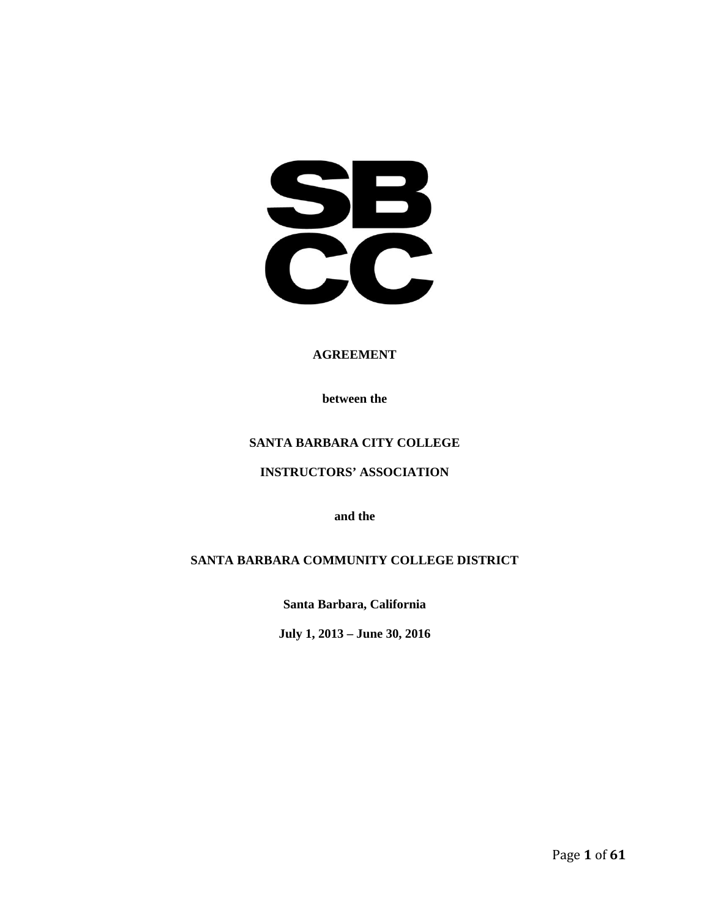SPB<br>CC

#### **AGREEMENT**

**between the**

# **SANTA BARBARA CITY COLLEGE**

**INSTRUCTORS' ASSOCIATION**

**and the**

### **SANTA BARBARA COMMUNITY COLLEGE DISTRICT**

**Santa Barbara, California**

**July 1, 2013 – June 30, 2016**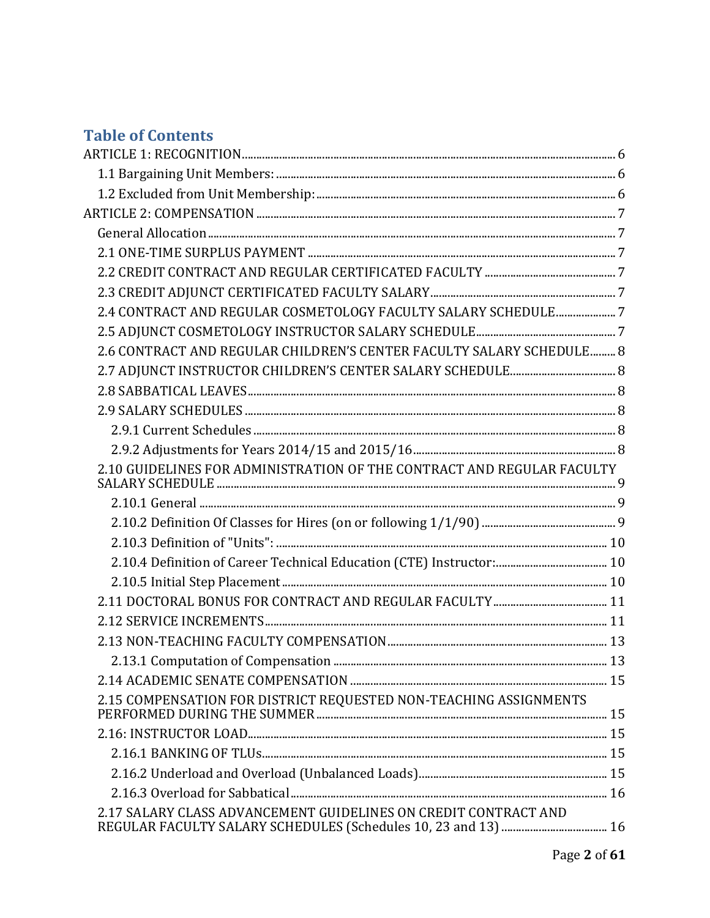# **Table of Contents**

| 2.4 CONTRACT AND REGULAR COSMETOLOGY FACULTY SALARY SCHEDULE7          |  |
|------------------------------------------------------------------------|--|
|                                                                        |  |
| 2.6 CONTRACT AND REGULAR CHILDREN'S CENTER FACULTY SALARY SCHEDULE 8   |  |
|                                                                        |  |
|                                                                        |  |
|                                                                        |  |
|                                                                        |  |
|                                                                        |  |
| 2.10 GUIDELINES FOR ADMINISTRATION OF THE CONTRACT AND REGULAR FACULTY |  |
|                                                                        |  |
|                                                                        |  |
|                                                                        |  |
|                                                                        |  |
|                                                                        |  |
|                                                                        |  |
|                                                                        |  |
|                                                                        |  |
|                                                                        |  |
|                                                                        |  |
| 2.15 COMPENSATION FOR DISTRICT REQUESTED NON-TEACHING ASSIGNMENTS      |  |
|                                                                        |  |
|                                                                        |  |
|                                                                        |  |
|                                                                        |  |
| 2.17 SALARY CLASS ADVANCEMENT GUIDELINES ON CREDIT CONTRACT AND        |  |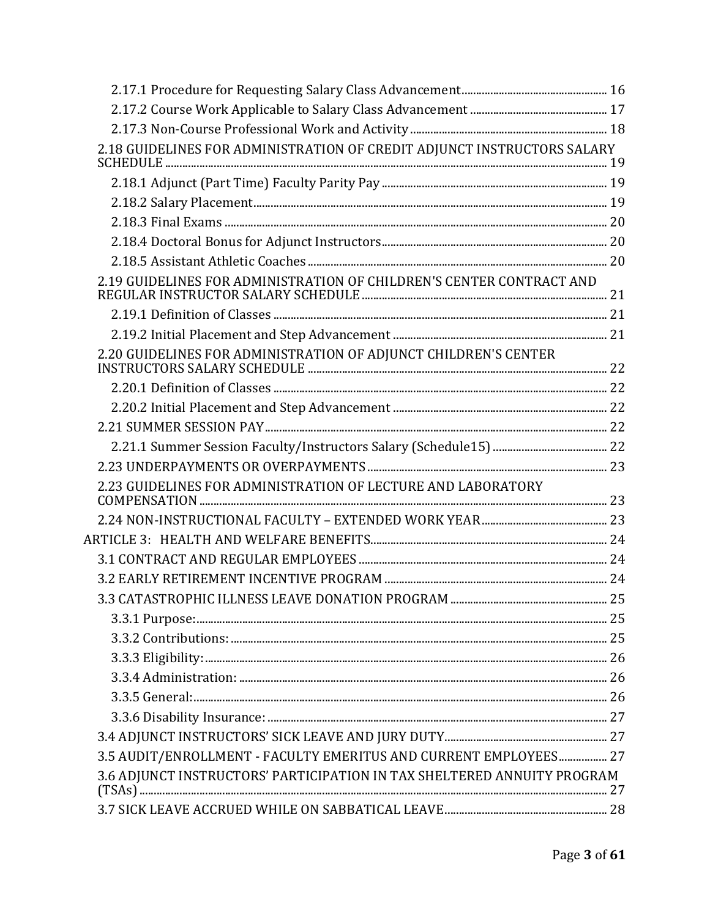| 2.18 GUIDELINES FOR ADMINISTRATION OF CREDIT ADJUNCT INSTRUCTORS SALARY |  |
|-------------------------------------------------------------------------|--|
|                                                                         |  |
|                                                                         |  |
|                                                                         |  |
|                                                                         |  |
|                                                                         |  |
| 2.19 GUIDELINES FOR ADMINISTRATION OF CHILDREN'S CENTER CONTRACT AND    |  |
|                                                                         |  |
|                                                                         |  |
| 2.20 GUIDELINES FOR ADMINISTRATION OF ADJUNCT CHILDREN'S CENTER         |  |
|                                                                         |  |
|                                                                         |  |
|                                                                         |  |
|                                                                         |  |
|                                                                         |  |
| 2.23 GUIDELINES FOR ADMINISTRATION OF LECTURE AND LABORATORY            |  |
|                                                                         |  |
|                                                                         |  |
|                                                                         |  |
|                                                                         |  |
|                                                                         |  |
|                                                                         |  |
|                                                                         |  |
|                                                                         |  |
|                                                                         |  |
|                                                                         |  |
|                                                                         |  |
|                                                                         |  |
| 3.5 AUDIT/ENROLLMENT - FACULTY EMERITUS AND CURRENT EMPLOYEES 27        |  |
| 3.6 ADJUNCT INSTRUCTORS' PARTICIPATION IN TAX SHELTERED ANNUITY PROGRAM |  |
|                                                                         |  |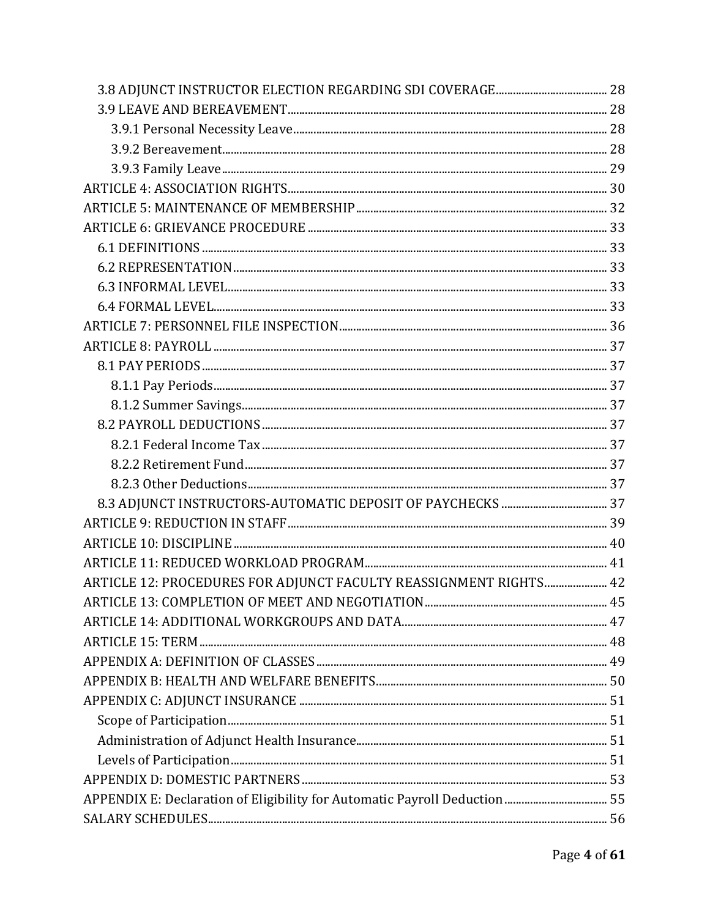| ARTICLE 12: PROCEDURES FOR ADJUNCT FACULTY REASSIGNMENT RIGHTS 42 |  |
|-------------------------------------------------------------------|--|
|                                                                   |  |
|                                                                   |  |
|                                                                   |  |
|                                                                   |  |
|                                                                   |  |
|                                                                   |  |
|                                                                   |  |
|                                                                   |  |
|                                                                   |  |
|                                                                   |  |
|                                                                   |  |
|                                                                   |  |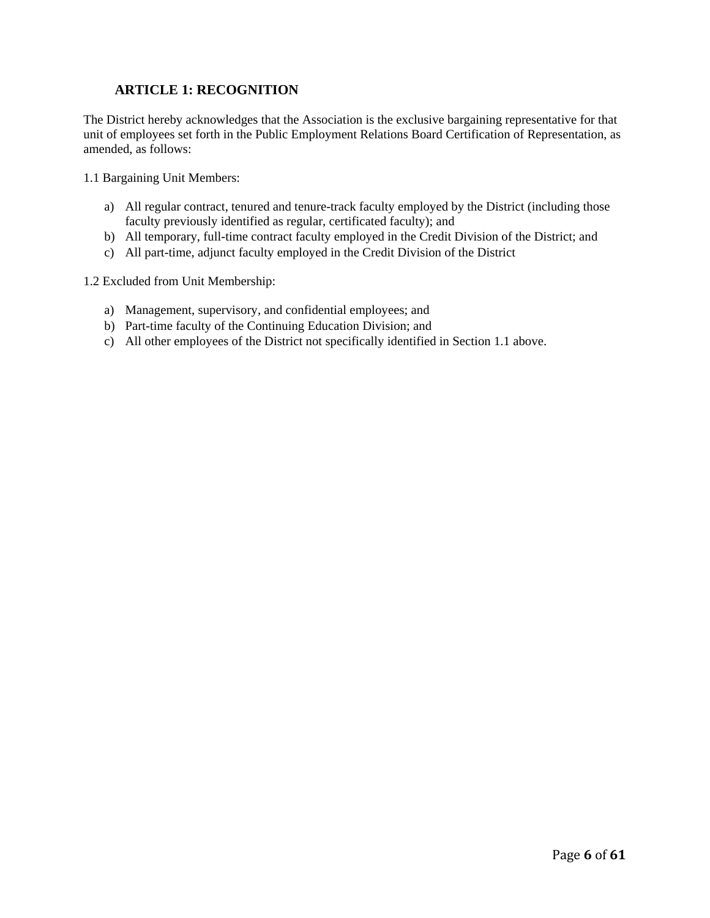# **ARTICLE 1: RECOGNITION**

The District hereby acknowledges that the Association is the exclusive bargaining representative for that unit of employees set forth in the Public Employment Relations Board Certification of Representation, as amended, as follows:

1.1 Bargaining Unit Members:

- a) All regular contract, tenured and tenure-track faculty employed by the District (including those faculty previously identified as regular, certificated faculty); and
- b) All temporary, full-time contract faculty employed in the Credit Division of the District; and
- c) All part-time, adjunct faculty employed in the Credit Division of the District

1.2 Excluded from Unit Membership:

- a) Management, supervisory, and confidential employees; and
- b) Part-time faculty of the Continuing Education Division; and
- c) All other employees of the District not specifically identified in Section 1.1 above.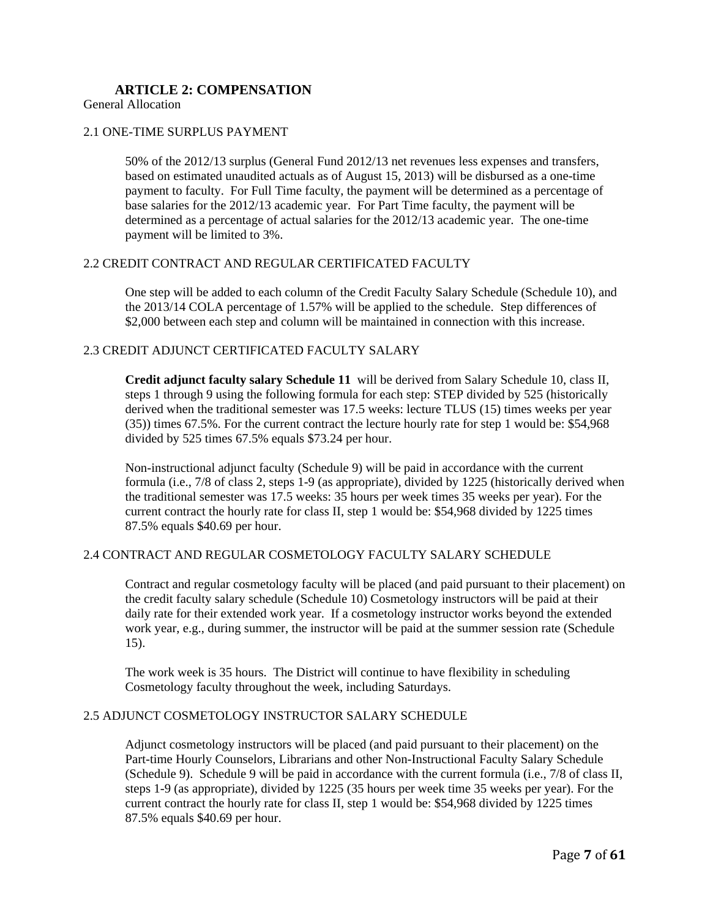# **ARTICLE 2: COMPENSATION**

General Allocation

#### 2.1 ONE-TIME SURPLUS PAYMENT

50% of the 2012/13 surplus (General Fund 2012/13 net revenues less expenses and transfers, based on estimated unaudited actuals as of August 15, 2013) will be disbursed as a one-time payment to faculty. For Full Time faculty, the payment will be determined as a percentage of base salaries for the 2012/13 academic year. For Part Time faculty, the payment will be determined as a percentage of actual salaries for the 2012/13 academic year. The one-time payment will be limited to 3%.

#### 2.2 CREDIT CONTRACT AND REGULAR CERTIFICATED FACULTY

One step will be added to each column of the Credit Faculty Salary Schedule (Schedule 10), and the 2013/14 COLA percentage of 1.57% will be applied to the schedule. Step differences of \$2,000 between each step and column will be maintained in connection with this increase.

### 2.3 CREDIT ADJUNCT CERTIFICATED FACULTY SALARY

**Credit adjunct faculty salary Schedule 11** will be derived from Salary Schedule 10, class II, steps 1 through 9 using the following formula for each step: STEP divided by 525 (historically derived when the traditional semester was 17.5 weeks: lecture TLUS (15) times weeks per year (35)) times 67.5%. For the current contract the lecture hourly rate for step 1 would be: \$54,968 divided by 525 times 67.5% equals \$73.24 per hour.

Non-instructional adjunct faculty (Schedule 9) will be paid in accordance with the current formula (i.e., 7/8 of class 2, steps 1-9 (as appropriate), divided by 1225 (historically derived when the traditional semester was 17.5 weeks: 35 hours per week times 35 weeks per year). For the current contract the hourly rate for class II, step 1 would be: \$54,968 divided by 1225 times 87.5% equals \$40.69 per hour.

### 2.4 CONTRACT AND REGULAR COSMETOLOGY FACULTY SALARY SCHEDULE

Contract and regular cosmetology faculty will be placed (and paid pursuant to their placement) on the credit faculty salary schedule (Schedule 10) Cosmetology instructors will be paid at their daily rate for their extended work year. If a cosmetology instructor works beyond the extended work year, e.g., during summer, the instructor will be paid at the summer session rate (Schedule 15).

The work week is 35 hours. The District will continue to have flexibility in scheduling Cosmetology faculty throughout the week, including Saturdays.

#### 2.5 ADJUNCT COSMETOLOGY INSTRUCTOR SALARY SCHEDULE

Adjunct cosmetology instructors will be placed (and paid pursuant to their placement) on the Part-time Hourly Counselors, Librarians and other Non-Instructional Faculty Salary Schedule (Schedule 9). Schedule 9 will be paid in accordance with the current formula (i.e., 7/8 of class II, steps 1-9 (as appropriate), divided by 1225 (35 hours per week time 35 weeks per year). For the current contract the hourly rate for class II, step 1 would be: \$54,968 divided by 1225 times 87.5% equals \$40.69 per hour.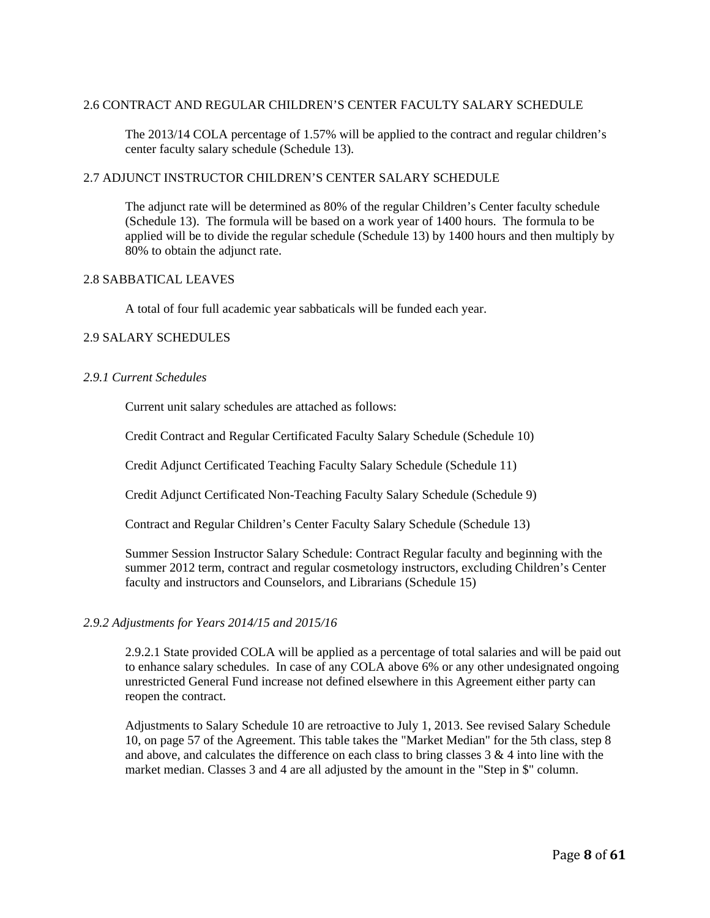### 2.6 CONTRACT AND REGULAR CHILDREN'S CENTER FACULTY SALARY SCHEDULE

The 2013/14 COLA percentage of 1.57% will be applied to the contract and regular children's center faculty salary schedule (Schedule 13).

### 2.7 ADJUNCT INSTRUCTOR CHILDREN'S CENTER SALARY SCHEDULE

The adjunct rate will be determined as 80% of the regular Children's Center faculty schedule (Schedule 13). The formula will be based on a work year of 1400 hours. The formula to be applied will be to divide the regular schedule (Schedule 13) by 1400 hours and then multiply by 80% to obtain the adjunct rate.

#### 2.8 SABBATICAL LEAVES

A total of four full academic year sabbaticals will be funded each year.

### 2.9 SALARY SCHEDULES

### *2.9.1 Current Schedules*

Current unit salary schedules are attached as follows:

Credit Contract and Regular Certificated Faculty Salary Schedule (Schedule 10)

Credit Adjunct Certificated Teaching Faculty Salary Schedule (Schedule 11)

Credit Adjunct Certificated Non-Teaching Faculty Salary Schedule (Schedule 9)

Contract and Regular Children's Center Faculty Salary Schedule (Schedule 13)

Summer Session Instructor Salary Schedule: Contract Regular faculty and beginning with the summer 2012 term, contract and regular cosmetology instructors, excluding Children's Center faculty and instructors and Counselors, and Librarians (Schedule 15)

### *2.9.2 Adjustments for Years 2014/15 and 2015/16*

2.9.2.1 State provided COLA will be applied as a percentage of total salaries and will be paid out to enhance salary schedules. In case of any COLA above 6% or any other undesignated ongoing unrestricted General Fund increase not defined elsewhere in this Agreement either party can reopen the contract.

Adjustments to Salary Schedule 10 are retroactive to July 1, 2013. See revised Salary Schedule 10, on page 57 of the Agreement. This table takes the "Market Median" for the 5th class, step 8 and above, and calculates the difference on each class to bring classes  $3 \& 4$  into line with the market median. Classes 3 and 4 are all adjusted by the amount in the "Step in \$" column.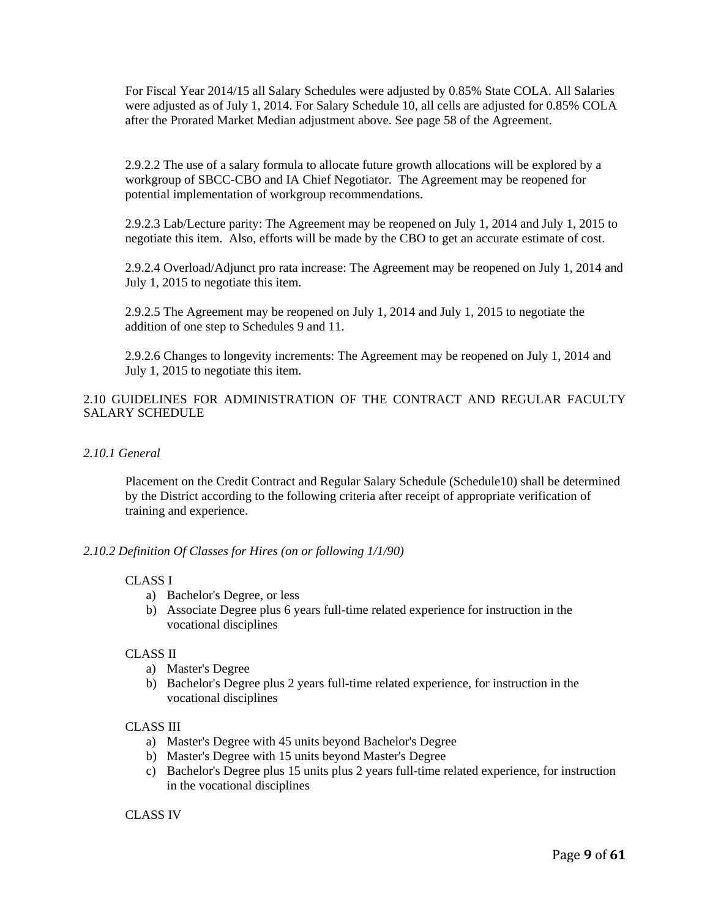For Fiscal Year 2014/15 all Salary Schedules were adjusted by 0.85% State COLA. All Salaries were adjusted as of July 1, 2014. For Salary Schedule 10, all cells are adjusted for 0.85% COLA after the Prorated Market Median adjustment above. See page 58 of the Agreement.

2.9.2.2 The use of a salary formula to allocate future growth allocations will be explored by a workgroup of SBCC-CBO and IA Chief Negotiator. The Agreement may be reopened for potential implementation of workgroup recommendations.

2.9.2.3 Lab/Lecture parity: The Agreement may be reopened on July 1, 2014 and July 1, 2015 to negotiate this item. Also, efforts will be made by the CBO to get an accurate estimate of cost.

2.9.2.4 Overload/Adjunct pro rata increase: The Agreement may be reopened on July 1, 2014 and July 1, 2015 to negotiate this item.

2.9.2.5 The Agreement may be reopened on July 1, 2014 and July 1, 2015 to negotiate the addition of one step to Schedules 9 and 11.

2.9.2.6 Changes to longevity increments: The Agreement may be reopened on July 1, 2014 and July 1, 2015 to negotiate this item.

### 2.10 GUIDELINES FOR ADMINISTRATION OF THE CONTRACT AND REGULAR FACULTY SALARY SCHEDULE

#### *2.10.1 General*

Placement on the Credit Contract and Regular Salary Schedule (Schedule10) shall be determined by the District according to the following criteria after receipt of appropriate verification of training and experience.

#### *2.10.2 Definition Of Classes for Hires (on or following 1/1/90)*

#### CLASS I

- a) Bachelor's Degree, or less
- b) Associate Degree plus 6 years full-time related experience for instruction in the vocational disciplines

### CLASS II

- a) Master's Degree
- b) Bachelor's Degree plus 2 years full-time related experience, for instruction in the vocational disciplines

#### CLASS III

- a) Master's Degree with 45 units beyond Bachelor's Degree
- b) Master's Degree with 15 units beyond Master's Degree
- c) Bachelor's Degree plus 15 units plus 2 years full-time related experience, for instruction in the vocational disciplines

#### CLASS IV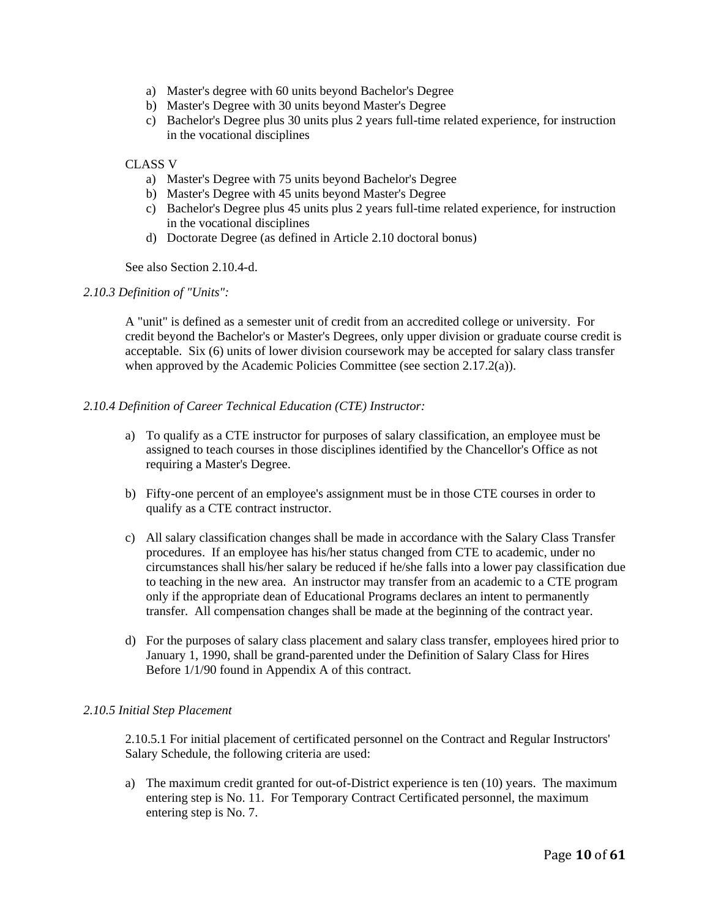- a) Master's degree with 60 units beyond Bachelor's Degree
- b) Master's Degree with 30 units beyond Master's Degree
- c) Bachelor's Degree plus 30 units plus 2 years full-time related experience, for instruction in the vocational disciplines

#### CLASS V

- a) Master's Degree with 75 units beyond Bachelor's Degree
- b) Master's Degree with 45 units beyond Master's Degree
- c) Bachelor's Degree plus 45 units plus 2 years full-time related experience, for instruction in the vocational disciplines
- d) Doctorate Degree (as defined in Article 2.10 doctoral bonus)

See also Section 2.10.4-d.

#### *2.10.3 Definition of "Units":*

A "unit" is defined as a semester unit of credit from an accredited college or university. For credit beyond the Bachelor's or Master's Degrees, only upper division or graduate course credit is acceptable. Six (6) units of lower division coursework may be accepted for salary class transfer when approved by the Academic Policies Committee (see section 2.17.2(a)).

#### *2.10.4 Definition of Career Technical Education (CTE) Instructor:*

- a) To qualify as a CTE instructor for purposes of salary classification, an employee must be assigned to teach courses in those disciplines identified by the Chancellor's Office as not requiring a Master's Degree.
- b) Fifty-one percent of an employee's assignment must be in those CTE courses in order to qualify as a CTE contract instructor.
- c) All salary classification changes shall be made in accordance with the Salary Class Transfer procedures. If an employee has his/her status changed from CTE to academic, under no circumstances shall his/her salary be reduced if he/she falls into a lower pay classification due to teaching in the new area. An instructor may transfer from an academic to a CTE program only if the appropriate dean of Educational Programs declares an intent to permanently transfer. All compensation changes shall be made at the beginning of the contract year.
- d) For the purposes of salary class placement and salary class transfer, employees hired prior to January 1, 1990, shall be grand-parented under the Definition of Salary Class for Hires Before 1/1/90 found in Appendix A of this contract.

### *2.10.5 Initial Step Placement*

2.10.5.1 For initial placement of certificated personnel on the Contract and Regular Instructors' Salary Schedule, the following criteria are used:

a) The maximum credit granted for out-of-District experience is ten (10) years. The maximum entering step is No. 11. For Temporary Contract Certificated personnel, the maximum entering step is No. 7.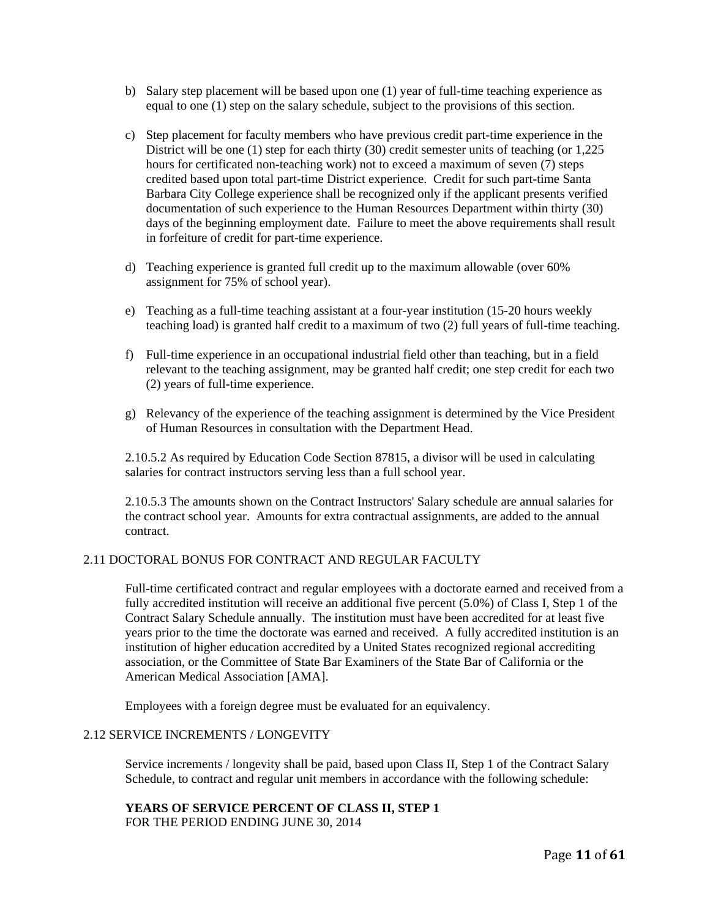- b) Salary step placement will be based upon one (1) year of full-time teaching experience as equal to one (1) step on the salary schedule, subject to the provisions of this section.
- c) Step placement for faculty members who have previous credit part-time experience in the District will be one (1) step for each thirty (30) credit semester units of teaching (or 1,225 hours for certificated non-teaching work) not to exceed a maximum of seven (7) steps credited based upon total part-time District experience. Credit for such part-time Santa Barbara City College experience shall be recognized only if the applicant presents verified documentation of such experience to the Human Resources Department within thirty (30) days of the beginning employment date. Failure to meet the above requirements shall result in forfeiture of credit for part-time experience.
- d) Teaching experience is granted full credit up to the maximum allowable (over 60% assignment for 75% of school year).
- e) Teaching as a full-time teaching assistant at a four-year institution (15-20 hours weekly teaching load) is granted half credit to a maximum of two (2) full years of full-time teaching.
- f) Full-time experience in an occupational industrial field other than teaching, but in a field relevant to the teaching assignment, may be granted half credit; one step credit for each two (2) years of full-time experience.
- g) Relevancy of the experience of the teaching assignment is determined by the Vice President of Human Resources in consultation with the Department Head.

2.10.5.2 As required by Education Code Section 87815, a divisor will be used in calculating salaries for contract instructors serving less than a full school year.

2.10.5.3 The amounts shown on the Contract Instructors' Salary schedule are annual salaries for the contract school year. Amounts for extra contractual assignments, are added to the annual contract.

#### 2.11 DOCTORAL BONUS FOR CONTRACT AND REGULAR FACULTY

Full-time certificated contract and regular employees with a doctorate earned and received from a fully accredited institution will receive an additional five percent (5.0%) of Class I, Step 1 of the Contract Salary Schedule annually. The institution must have been accredited for at least five years prior to the time the doctorate was earned and received. A fully accredited institution is an institution of higher education accredited by a United States recognized regional accrediting association, or the Committee of State Bar Examiners of the State Bar of California or the American Medical Association [AMA].

Employees with a foreign degree must be evaluated for an equivalency.

#### 2.12 SERVICE INCREMENTS / LONGEVITY

Service increments / longevity shall be paid, based upon Class II, Step 1 of the Contract Salary Schedule, to contract and regular unit members in accordance with the following schedule:

# **YEARS OF SERVICE PERCENT OF CLASS II, STEP 1**

FOR THE PERIOD ENDING JUNE 30, 2014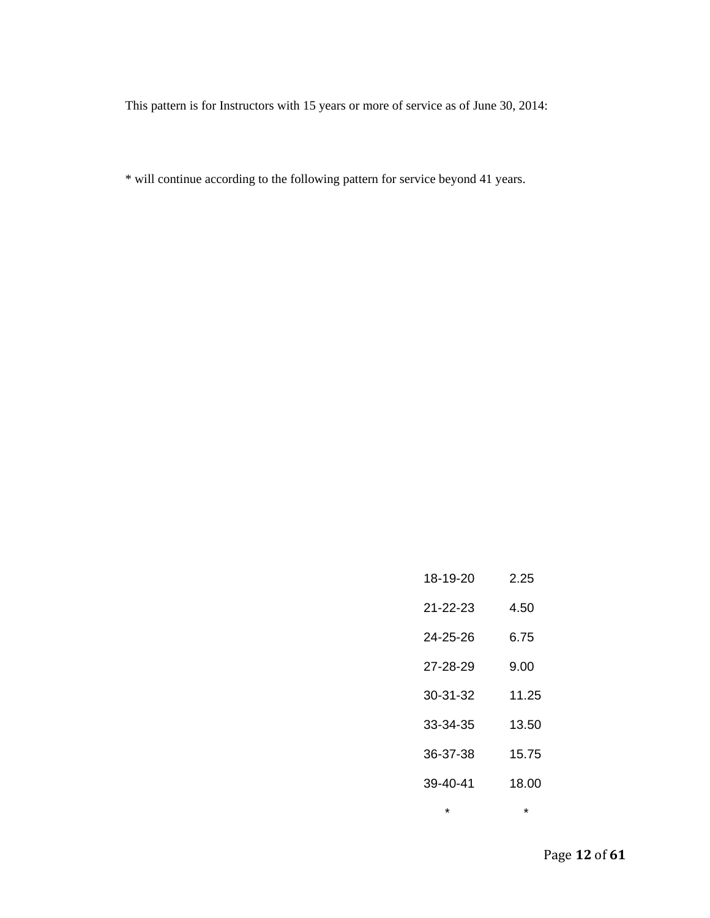This pattern is for Instructors with 15 years or more of service as of June 30, 2014:

\* will continue according to the following pattern for service beyond 41 years.

| 18-19-20       | 2.25  |
|----------------|-------|
| 21-22-23       | 4.50  |
| 24-25-26       | 6.75  |
| 27-28-29       | 9.00  |
| 30-31-32       | 11.25 |
| 33-34-35       | 13.50 |
| 36-37-38       | 15.75 |
| $39 - 40 - 41$ | 18.00 |
| ÷              | ÷     |

Page **12** of **61**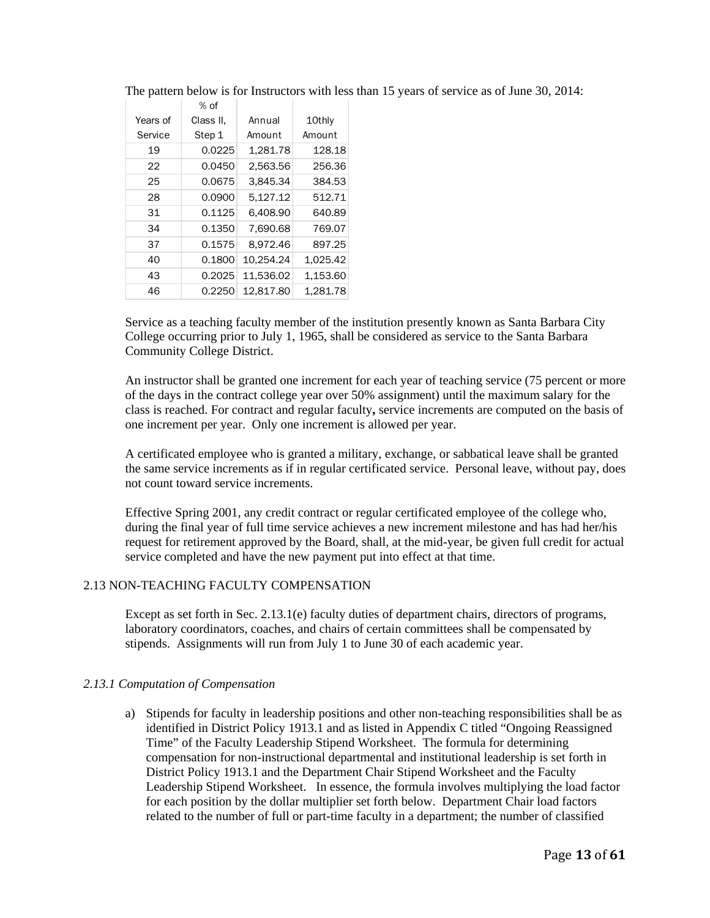|          | $%$ of    |           |          |
|----------|-----------|-----------|----------|
| Years of | Class II. | Annual    | 10thly   |
| Service  | Step 1    | Amount    | Amount   |
| 19       | 0.0225    | 1,281.78  | 128.18   |
| 22       | 0.0450    | 2.563.56  | 256.36   |
| 25       | 0.0675    | 3.845.34  | 384.53   |
| 28       | 0.0900    | 5.127.12  | 512.71   |
| 31       | 0.1125    | 6,408.90  | 640.89   |
| 34       | 0.1350    | 7.690.68  | 769.07   |
| 37       | 0.1575    | 8.972.46  | 897.25   |
| 40       | 0.1800    | 10,254.24 | 1,025.42 |
| 43       | 0.2025    | 11.536.02 | 1,153.60 |
| 46       | 0.2250    | 12.817.80 | 1.281.78 |

The pattern below is for Instructors with less than 15 years of service as of June 30, 2014:

Service as a teaching faculty member of the institution presently known as Santa Barbara City College occurring prior to July 1, 1965, shall be considered as service to the Santa Barbara Community College District.

An instructor shall be granted one increment for each year of teaching service (75 percent or more of the days in the contract college year over 50% assignment) until the maximum salary for the class is reached. For contract and regular faculty**,** service increments are computed on the basis of one increment per year. Only one increment is allowed per year.

A certificated employee who is granted a military, exchange, or sabbatical leave shall be granted the same service increments as if in regular certificated service. Personal leave, without pay, does not count toward service increments.

Effective Spring 2001, any credit contract or regular certificated employee of the college who, during the final year of full time service achieves a new increment milestone and has had her/his request for retirement approved by the Board, shall, at the mid-year, be given full credit for actual service completed and have the new payment put into effect at that time.

### 2.13 NON-TEACHING FACULTY COMPENSATION

Except as set forth in Sec. 2.13.1(e) faculty duties of department chairs, directors of programs, laboratory coordinators, coaches, and chairs of certain committees shall be compensated by stipends. Assignments will run from July 1 to June 30 of each academic year.

#### *2.13.1 Computation of Compensation*

a) Stipends for faculty in leadership positions and other non-teaching responsibilities shall be as identified in District Policy 1913.1 and as listed in Appendix C titled "Ongoing Reassigned Time" of the Faculty Leadership Stipend Worksheet. The formula for determining compensation for non-instructional departmental and institutional leadership is set forth in District Policy 1913.1 and the Department Chair Stipend Worksheet and the Faculty Leadership Stipend Worksheet. In essence, the formula involves multiplying the load factor for each position by the dollar multiplier set forth below. Department Chair load factors related to the number of full or part-time faculty in a department; the number of classified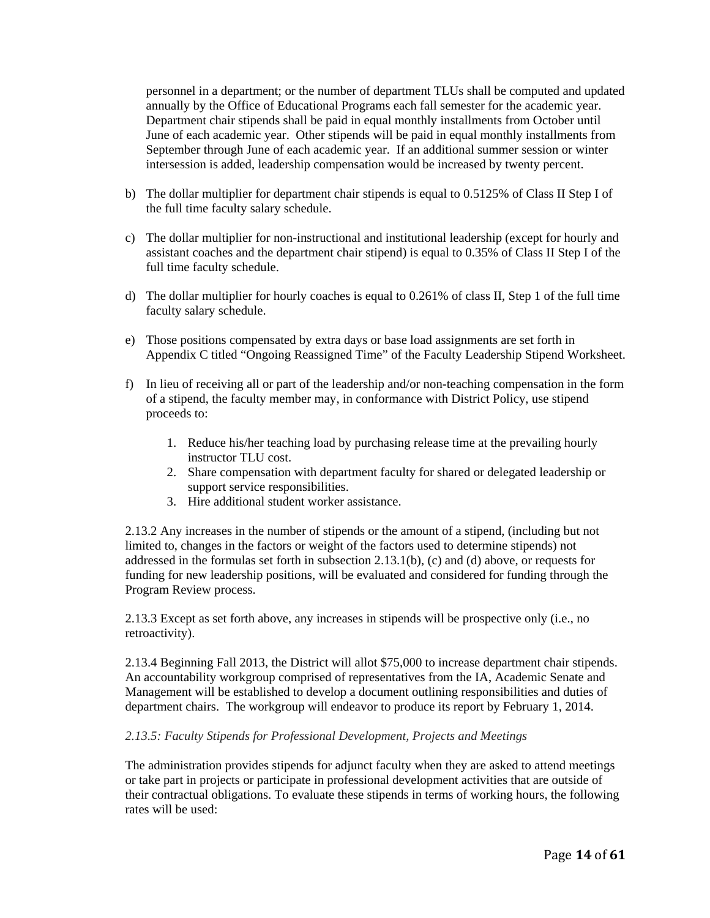personnel in a department; or the number of department TLUs shall be computed and updated annually by the Office of Educational Programs each fall semester for the academic year. Department chair stipends shall be paid in equal monthly installments from October until June of each academic year. Other stipends will be paid in equal monthly installments from September through June of each academic year. If an additional summer session or winter intersession is added, leadership compensation would be increased by twenty percent.

- b) The dollar multiplier for department chair stipends is equal to 0.5125% of Class II Step I of the full time faculty salary schedule.
- c) The dollar multiplier for non-instructional and institutional leadership (except for hourly and assistant coaches and the department chair stipend) is equal to 0.35% of Class II Step I of the full time faculty schedule.
- d) The dollar multiplier for hourly coaches is equal to 0.261% of class II, Step 1 of the full time faculty salary schedule.
- e) Those positions compensated by extra days or base load assignments are set forth in Appendix C titled "Ongoing Reassigned Time" of the Faculty Leadership Stipend Worksheet.
- f) In lieu of receiving all or part of the leadership and/or non-teaching compensation in the form of a stipend, the faculty member may, in conformance with District Policy, use stipend proceeds to:
	- 1. Reduce his/her teaching load by purchasing release time at the prevailing hourly instructor TLU cost.
	- 2. Share compensation with department faculty for shared or delegated leadership or support service responsibilities.
	- 3. Hire additional student worker assistance.

2.13.2 Any increases in the number of stipends or the amount of a stipend, (including but not limited to, changes in the factors or weight of the factors used to determine stipends) not addressed in the formulas set forth in subsection 2.13.1(b), (c) and (d) above, or requests for funding for new leadership positions, will be evaluated and considered for funding through the Program Review process.

2.13.3 Except as set forth above, any increases in stipends will be prospective only (i.e., no retroactivity).

2.13.4 Beginning Fall 2013, the District will allot \$75,000 to increase department chair stipends. An accountability workgroup comprised of representatives from the IA, Academic Senate and Management will be established to develop a document outlining responsibilities and duties of department chairs. The workgroup will endeavor to produce its report by February 1, 2014.

### *2.13.5: Faculty Stipends for Professional Development, Projects and Meetings*

The administration provides stipends for adjunct faculty when they are asked to attend meetings or take part in projects or participate in professional development activities that are outside of their contractual obligations. To evaluate these stipends in terms of working hours, the following rates will be used: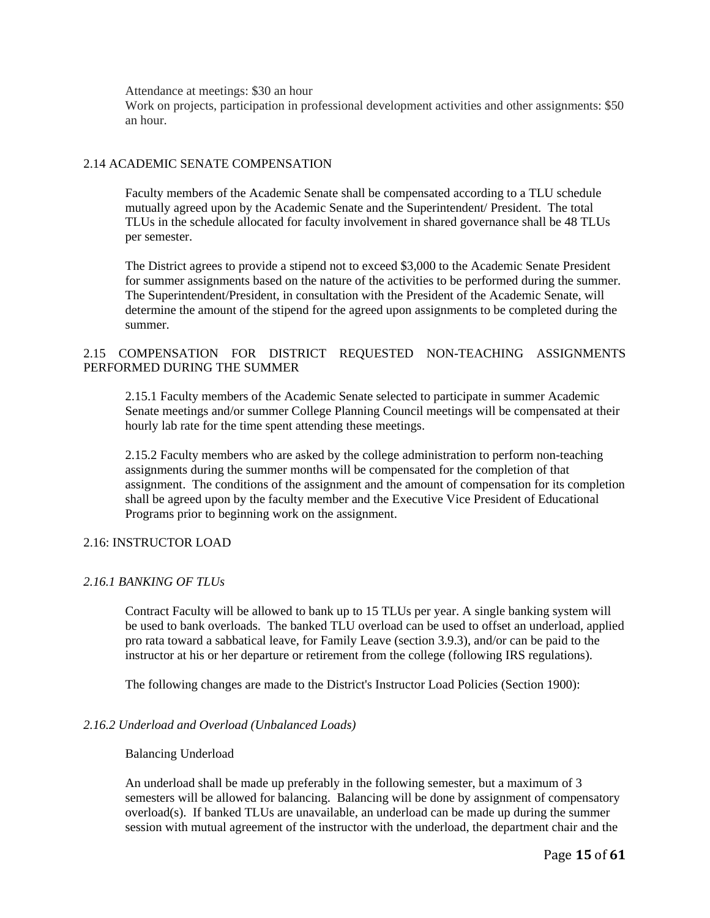Attendance at meetings: \$30 an hour

Work on projects, participation in professional development activities and other assignments: \$50 an hour.

### 2.14 ACADEMIC SENATE COMPENSATION

Faculty members of the Academic Senate shall be compensated according to a TLU schedule mutually agreed upon by the Academic Senate and the Superintendent/ President. The total TLUs in the schedule allocated for faculty involvement in shared governance shall be 48 TLUs per semester.

The District agrees to provide a stipend not to exceed \$3,000 to the Academic Senate President for summer assignments based on the nature of the activities to be performed during the summer. The Superintendent/President, in consultation with the President of the Academic Senate, will determine the amount of the stipend for the agreed upon assignments to be completed during the summer.

### 2.15 COMPENSATION FOR DISTRICT REQUESTED NON-TEACHING ASSIGNMENTS PERFORMED DURING THE SUMMER

2.15.1 Faculty members of the Academic Senate selected to participate in summer Academic Senate meetings and/or summer College Planning Council meetings will be compensated at their hourly lab rate for the time spent attending these meetings.

2.15.2 Faculty members who are asked by the college administration to perform non-teaching assignments during the summer months will be compensated for the completion of that assignment. The conditions of the assignment and the amount of compensation for its completion shall be agreed upon by the faculty member and the Executive Vice President of Educational Programs prior to beginning work on the assignment.

### 2.16: INSTRUCTOR LOAD

### *2.16.1 BANKING OF TLUs*

Contract Faculty will be allowed to bank up to 15 TLUs per year. A single banking system will be used to bank overloads. The banked TLU overload can be used to offset an underload, applied pro rata toward a sabbatical leave, for Family Leave (section 3.9.3), and/or can be paid to the instructor at his or her departure or retirement from the college (following IRS regulations).

The following changes are made to the District's Instructor Load Policies (Section 1900):

### *2.16.2 Underload and Overload (Unbalanced Loads)*

#### Balancing Underload

An underload shall be made up preferably in the following semester, but a maximum of 3 semesters will be allowed for balancing. Balancing will be done by assignment of compensatory overload(s). If banked TLUs are unavailable, an underload can be made up during the summer session with mutual agreement of the instructor with the underload, the department chair and the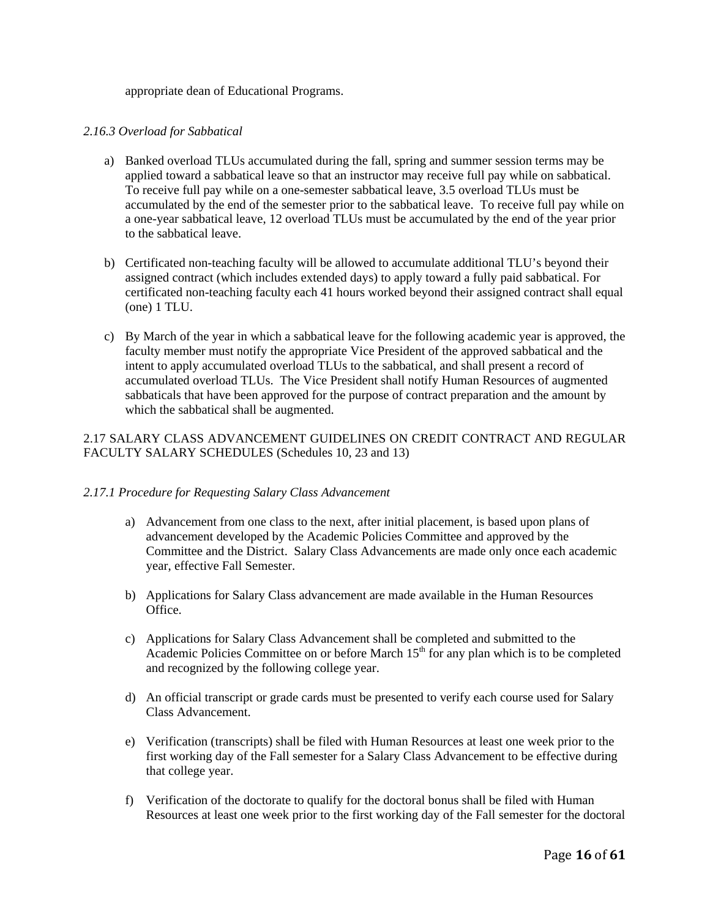appropriate dean of Educational Programs.

#### *2.16.3 Overload for Sabbatical*

- a) Banked overload TLUs accumulated during the fall, spring and summer session terms may be applied toward a sabbatical leave so that an instructor may receive full pay while on sabbatical. To receive full pay while on a one-semester sabbatical leave, 3.5 overload TLUs must be accumulated by the end of the semester prior to the sabbatical leave. To receive full pay while on a one-year sabbatical leave, 12 overload TLUs must be accumulated by the end of the year prior to the sabbatical leave.
- b) Certificated non-teaching faculty will be allowed to accumulate additional TLU's beyond their assigned contract (which includes extended days) to apply toward a fully paid sabbatical. For certificated non-teaching faculty each 41 hours worked beyond their assigned contract shall equal (one) 1 TLU.
- c) By March of the year in which a sabbatical leave for the following academic year is approved, the faculty member must notify the appropriate Vice President of the approved sabbatical and the intent to apply accumulated overload TLUs to the sabbatical, and shall present a record of accumulated overload TLUs. The Vice President shall notify Human Resources of augmented sabbaticals that have been approved for the purpose of contract preparation and the amount by which the sabbatical shall be augmented.

### 2.17 SALARY CLASS ADVANCEMENT GUIDELINES ON CREDIT CONTRACT AND REGULAR FACULTY SALARY SCHEDULES (Schedules 10, 23 and 13)

#### *2.17.1 Procedure for Requesting Salary Class Advancement*

- a) Advancement from one class to the next, after initial placement, is based upon plans of advancement developed by the Academic Policies Committee and approved by the Committee and the District. Salary Class Advancements are made only once each academic year, effective Fall Semester.
- b) Applications for Salary Class advancement are made available in the Human Resources Office.
- c) Applications for Salary Class Advancement shall be completed and submitted to the Academic Policies Committee on or before March  $15<sup>th</sup>$  for any plan which is to be completed and recognized by the following college year.
- d) An official transcript or grade cards must be presented to verify each course used for Salary Class Advancement.
- e) Verification (transcripts) shall be filed with Human Resources at least one week prior to the first working day of the Fall semester for a Salary Class Advancement to be effective during that college year.
- f) Verification of the doctorate to qualify for the doctoral bonus shall be filed with Human Resources at least one week prior to the first working day of the Fall semester for the doctoral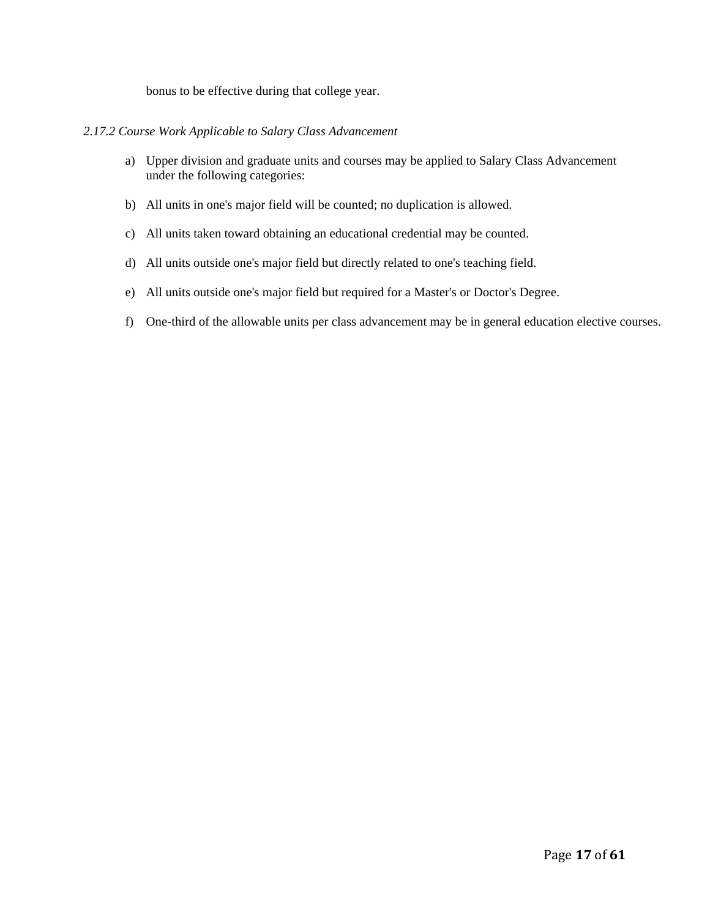bonus to be effective during that college year.

### *2.17.2 Course Work Applicable to Salary Class Advancement*

- a) Upper division and graduate units and courses may be applied to Salary Class Advancement under the following categories:
- b) All units in one's major field will be counted; no duplication is allowed.
- c) All units taken toward obtaining an educational credential may be counted.
- d) All units outside one's major field but directly related to one's teaching field.
- e) All units outside one's major field but required for a Master's or Doctor's Degree.
- f) One-third of the allowable units per class advancement may be in general education elective courses.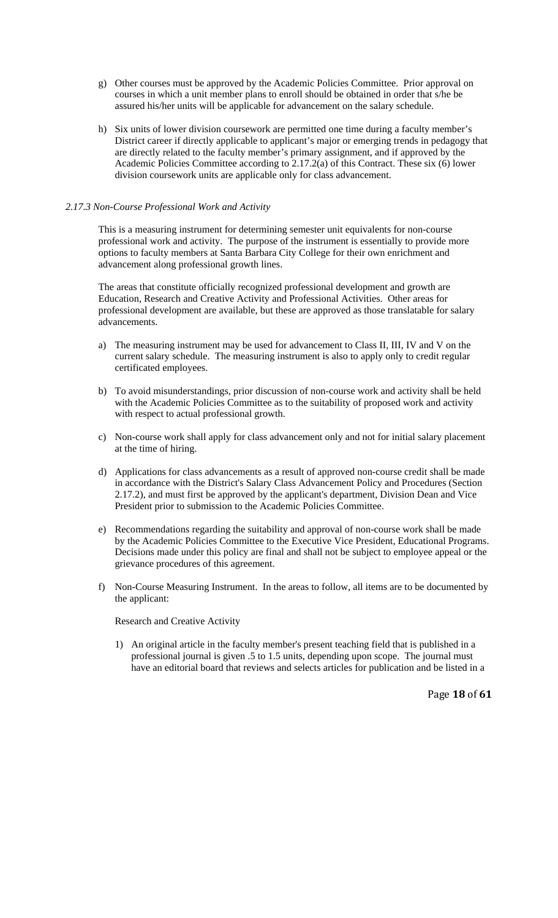- g) Other courses must be approved by the Academic Policies Committee. Prior approval on courses in which a unit member plans to enroll should be obtained in order that s/he be assured his/her units will be applicable for advancement on the salary schedule.
- h) Six units of lower division coursework are permitted one time during a faculty member's District career if directly applicable to applicant's major or emerging trends in pedagogy that are directly related to the faculty member's primary assignment, and if approved by the Academic Policies Committee according to 2.17.2(a) of this Contract. These six (6) lower division coursework units are applicable only for class advancement.

# *2.17.3 Non-Course Professional Work and Activity*

This is a measuring instrument for determining semester unit equivalents for non-course professional work and activity. The purpose of the instrument is essentially to provide more options to faculty members at Santa Barbara City College for their own enrichment and advancement along professional growth lines.

The areas that constitute officially recognized professional development and growth are Education, Research and Creative Activity and Professional Activities. Other areas for professional development are available, but these are approved as those translatable for salary advancements.

- a) The measuring instrument may be used for advancement to Class II, III, IV and V on the current salary schedule. The measuring instrument is also to apply only to credit regular certificated employees.
- b) To avoid misunderstandings, prior discussion of non-course work and activity shall be held with the Academic Policies Committee as to the suitability of proposed work and activity with respect to actual professional growth.
- c) Non-course work shall apply for class advancement only and not for initial salary placement at the time of hiring.
- d) Applications for class advancements as a result of approved non-course credit shall be made in accordance with the District's Salary Class Advancement Policy and Procedures (Section 2.17.2), and must first be approved by the applicant's department, Division Dean and Vice President prior to submission to the Academic Policies Committee.
- e) Recommendations regarding the suitability and approval of non-course work shall be made by the Academic Policies Committee to the Executive Vice President, Educational Programs. Decisions made under this policy are final and shall not be subject to employee appeal or the grievance procedures of this agreement.
- f) Non-Course Measuring Instrument. In the areas to follow, all items are to be documented by the applicant:

# Research and Creative Activity

1) An original article in the faculty member's present teaching field that is published in a professional journal is given .5 to 1.5 units, depending upon scope. The journal must have an editorial board that reviews and selects articles for publication and be listed in a

Page **18** of **61**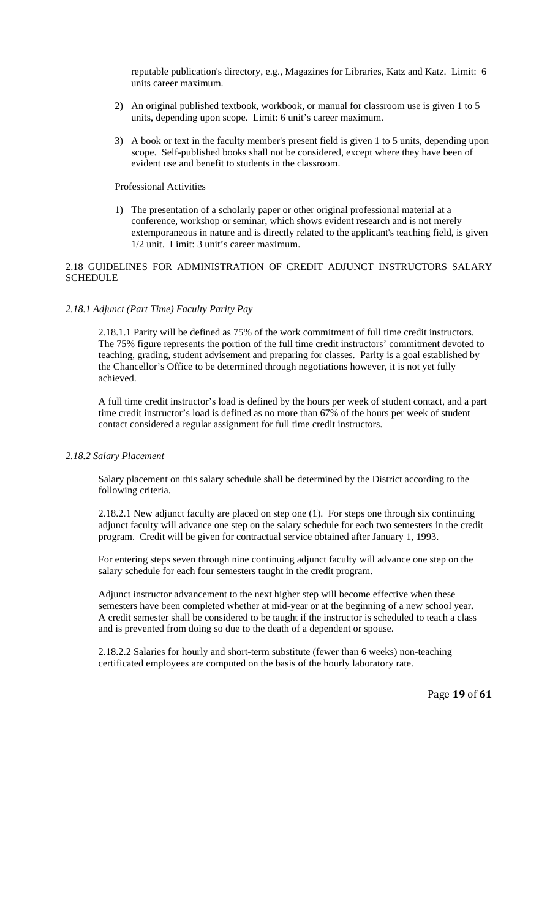reputable publication's directory, e.g., Magazines for Libraries, Katz and Katz. Limit: 6 units career maximum.

- 2) An original published textbook, workbook, or manual for classroom use is given 1 to 5 units, depending upon scope. Limit: 6 unit's career maximum.
- 3) A book or text in the faculty member's present field is given 1 to 5 units, depending upon scope. Self-published books shall not be considered, except where they have been of evident use and benefit to students in the classroom.

#### Professional Activities

1) The presentation of a scholarly paper or other original professional material at a conference, workshop or seminar, which shows evident research and is not merely extemporaneous in nature and is directly related to the applicant's teaching field, is given 1/2 unit. Limit: 3 unit's career maximum.

# 2.18 GUIDELINES FOR ADMINISTRATION OF CREDIT ADJUNCT INSTRUCTORS SALARY SCHEDULE

### *2.18.1 Adjunct (Part Time) Faculty Parity Pay*

2.18.1.1 Parity will be defined as 75% of the work commitment of full time credit instructors. The 75% figure represents the portion of the full time credit instructors' commitment devoted to teaching, grading, student advisement and preparing for classes. Parity is a goal established by the Chancellor's Office to be determined through negotiations however, it is not yet fully achieved.

A full time credit instructor's load is defined by the hours per week of student contact, and a part time credit instructor's load is defined as no more than 67% of the hours per week of student contact considered a regular assignment for full time credit instructors.

#### *2.18.2 Salary Placement*

Salary placement on this salary schedule shall be determined by the District according to the following criteria.

2.18.2.1 New adjunct faculty are placed on step one (1). For steps one through six continuing adjunct faculty will advance one step on the salary schedule for each two semesters in the credit program. Credit will be given for contractual service obtained after January 1, 1993.

For entering steps seven through nine continuing adjunct faculty will advance one step on the salary schedule for each four semesters taught in the credit program.

Adjunct instructor advancement to the next higher step will become effective when these semesters have been completed whether at mid-year or at the beginning of a new school year**.**  A credit semester shall be considered to be taught if the instructor is scheduled to teach a class and is prevented from doing so due to the death of a dependent or spouse.

2.18.2.2 Salaries for hourly and short-term substitute (fewer than 6 weeks) non-teaching certificated employees are computed on the basis of the hourly laboratory rate.

Page **19** of **61**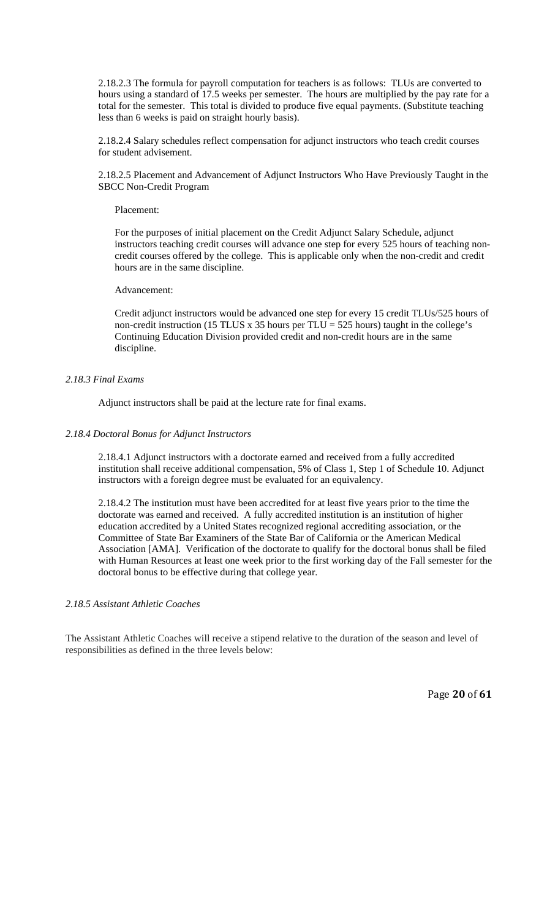2.18.2.3 The formula for payroll computation for teachers is as follows: TLUs are converted to hours using a standard of 17.5 weeks per semester. The hours are multiplied by the pay rate for a total for the semester. This total is divided to produce five equal payments. (Substitute teaching less than 6 weeks is paid on straight hourly basis).

2.18.2.4 Salary schedules reflect compensation for adjunct instructors who teach credit courses for student advisement.

2.18.2.5 Placement and Advancement of Adjunct Instructors Who Have Previously Taught in the SBCC Non-Credit Program

#### Placement:

For the purposes of initial placement on the Credit Adjunct Salary Schedule, adjunct instructors teaching credit courses will advance one step for every 525 hours of teaching noncredit courses offered by the college. This is applicable only when the non-credit and credit hours are in the same discipline.

### Advancement:

Credit adjunct instructors would be advanced one step for every 15 credit TLUs/525 hours of non-credit instruction (15 TLUS x 35 hours per TLU = 525 hours) taught in the college's Continuing Education Division provided credit and non-credit hours are in the same discipline.

### *2.18.3 Final Exams*

Adjunct instructors shall be paid at the lecture rate for final exams.

#### *2.18.4 Doctoral Bonus for Adjunct Instructors*

2.18.4.1 Adjunct instructors with a doctorate earned and received from a fully accredited institution shall receive additional compensation, 5% of Class 1, Step 1 of Schedule 10. Adjunct instructors with a foreign degree must be evaluated for an equivalency.

2.18.4.2 The institution must have been accredited for at least five years prior to the time the doctorate was earned and received. A fully accredited institution is an institution of higher education accredited by a United States recognized regional accrediting association, or the Committee of State Bar Examiners of the State Bar of California or the American Medical Association [AMA]. Verification of the doctorate to qualify for the doctoral bonus shall be filed with Human Resources at least one week prior to the first working day of the Fall semester for the doctoral bonus to be effective during that college year.

# *2.18.5 Assistant Athletic Coaches*

The Assistant Athletic Coaches will receive a stipend relative to the duration of the season and level of responsibilities as defined in the three levels below:

Page **20** of **61**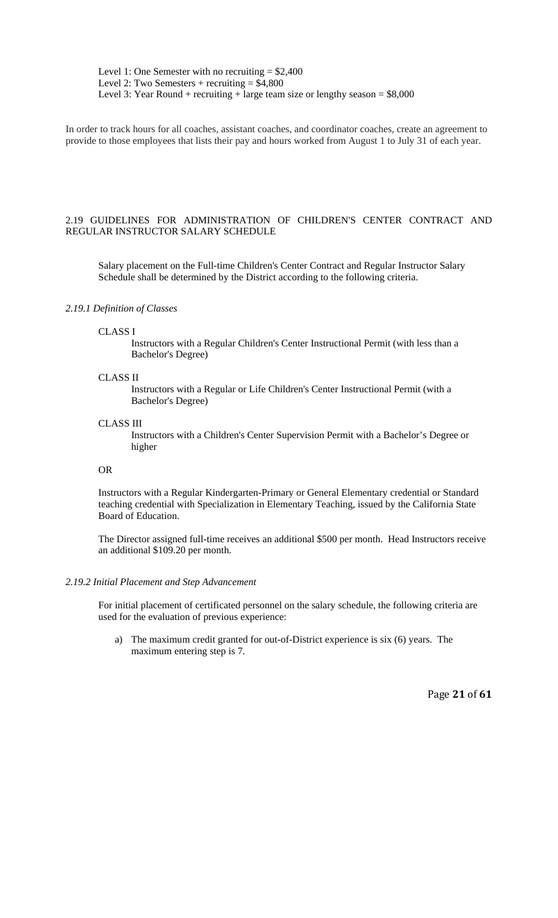Level 1: One Semester with no recruiting  $= $2,400$ Level 2: Two Semesters  $+$  recruiting  $=$  \$4,800 Level 3: Year Round + recruiting + large team size or lengthy season =  $$8,000$ 

In order to track hours for all coaches, assistant coaches, and coordinator coaches, create an agreement to provide to those employees that lists their pay and hours worked from August 1 to July 31 of each year.

### 2.19 GUIDELINES FOR ADMINISTRATION OF CHILDREN'S CENTER CONTRACT AND REGULAR INSTRUCTOR SALARY SCHEDULE

Salary placement on the Full-time Children's Center Contract and Regular Instructor Salary Schedule shall be determined by the District according to the following criteria.

#### *2.19.1 Definition of Classes*

#### CLASS I

Instructors with a Regular Children's Center Instructional Permit (with less than a Bachelor's Degree)

### CLASS II

Instructors with a Regular or Life Children's Center Instructional Permit (with a Bachelor's Degree)

#### CLASS III

Instructors with a Children's Center Supervision Permit with a Bachelor's Degree or higher

# OR

Instructors with a Regular Kindergarten-Primary or General Elementary credential or Standard teaching credential with Specialization in Elementary Teaching, issued by the California State Board of Education.

The Director assigned full-time receives an additional \$500 per month. Head Instructors receive an additional \$109.20 per month.

#### *2.19.2 Initial Placement and Step Advancement*

For initial placement of certificated personnel on the salary schedule, the following criteria are used for the evaluation of previous experience:

a) The maximum credit granted for out-of-District experience is six (6) years. The maximum entering step is 7.

Page **21** of **61**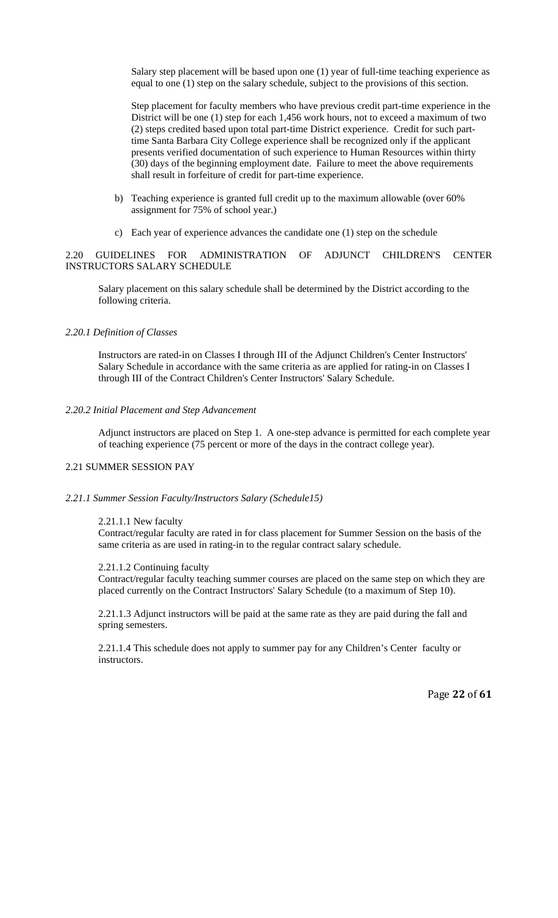Salary step placement will be based upon one (1) year of full-time teaching experience as equal to one (1) step on the salary schedule, subject to the provisions of this section.

Step placement for faculty members who have previous credit part-time experience in the District will be one (1) step for each 1,456 work hours, not to exceed a maximum of two (2) steps credited based upon total part-time District experience. Credit for such parttime Santa Barbara City College experience shall be recognized only if the applicant presents verified documentation of such experience to Human Resources within thirty (30) days of the beginning employment date. Failure to meet the above requirements shall result in forfeiture of credit for part-time experience.

- b) Teaching experience is granted full credit up to the maximum allowable (over 60% assignment for 75% of school year.)
- c) Each year of experience advances the candidate one (1) step on the schedule

# 2.20 GUIDELINES FOR ADMINISTRATION OF ADJUNCT CHILDREN'S CENTER INSTRUCTORS SALARY SCHEDULE

Salary placement on this salary schedule shall be determined by the District according to the following criteria.

### *2.20.1 Definition of Classes*

Instructors are rated-in on Classes I through III of the Adjunct Children's Center Instructors' Salary Schedule in accordance with the same criteria as are applied for rating-in on Classes I through III of the Contract Children's Center Instructors' Salary Schedule.

#### *2.20.2 Initial Placement and Step Advancement*

Adjunct instructors are placed on Step 1. A one-step advance is permitted for each complete year of teaching experience (75 percent or more of the days in the contract college year).

# 2.21 SUMMER SESSION PAY

#### *2.21.1 Summer Session Faculty/Instructors Salary (Schedule15)*

#### 2.21.1.1 New faculty

Contract/regular faculty are rated in for class placement for Summer Session on the basis of the same criteria as are used in rating-in to the regular contract salary schedule.

#### 2.21.1.2 Continuing faculty

Contract/regular faculty teaching summer courses are placed on the same step on which they are placed currently on the Contract Instructors' Salary Schedule (to a maximum of Step 10).

2.21.1.3 Adjunct instructors will be paid at the same rate as they are paid during the fall and spring semesters.

2.21.1.4 This schedule does not apply to summer pay for any Children's Center faculty or instructors.

Page **22** of **61**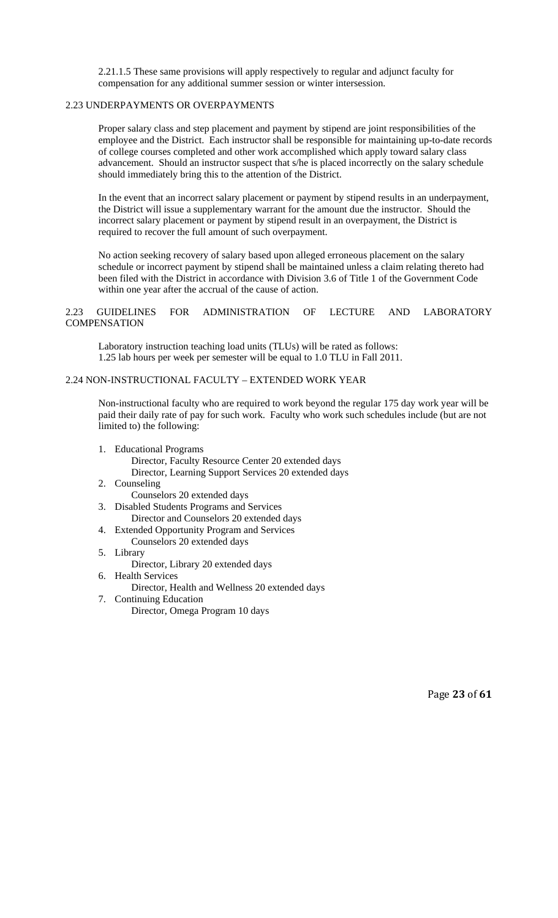2.21.1.5 These same provisions will apply respectively to regular and adjunct faculty for compensation for any additional summer session or winter intersession.

# 2.23 UNDERPAYMENTS OR OVERPAYMENTS

Proper salary class and step placement and payment by stipend are joint responsibilities of the employee and the District. Each instructor shall be responsible for maintaining up-to-date records of college courses completed and other work accomplished which apply toward salary class advancement. Should an instructor suspect that s/he is placed incorrectly on the salary schedule should immediately bring this to the attention of the District.

In the event that an incorrect salary placement or payment by stipend results in an underpayment, the District will issue a supplementary warrant for the amount due the instructor. Should the incorrect salary placement or payment by stipend result in an overpayment, the District is required to recover the full amount of such overpayment.

No action seeking recovery of salary based upon alleged erroneous placement on the salary schedule or incorrect payment by stipend shall be maintained unless a claim relating thereto had been filed with the District in accordance with Division 3.6 of Title 1 of the Government Code within one year after the accrual of the cause of action.

# 2.23 GUIDELINES FOR ADMINISTRATION OF LECTURE AND LABORATORY **COMPENSATION**

Laboratory instruction teaching load units (TLUs) will be rated as follows: 1.25 lab hours per week per semester will be equal to 1.0 TLU in Fall 2011.

# 2.24 NON-INSTRUCTIONAL FACULTY – EXTENDED WORK YEAR

Non-instructional faculty who are required to work beyond the regular 175 day work year will be paid their daily rate of pay for such work. Faculty who work such schedules include (but are not limited to) the following:

- 1. Educational Programs
	- Director, Faculty Resource Center 20 extended days Director, Learning Support Services 20 extended days
- 2. Counseling Counselors 20 extended days
- 3. Disabled Students Programs and Services Director and Counselors 20 extended days
- 4. Extended Opportunity Program and Services
	- Counselors 20 extended days
- 5. Library

Director, Library 20 extended days

6. Health Services

Director, Health and Wellness 20 extended days

7. Continuing Education Director, Omega Program 10 days

Page **23** of **61**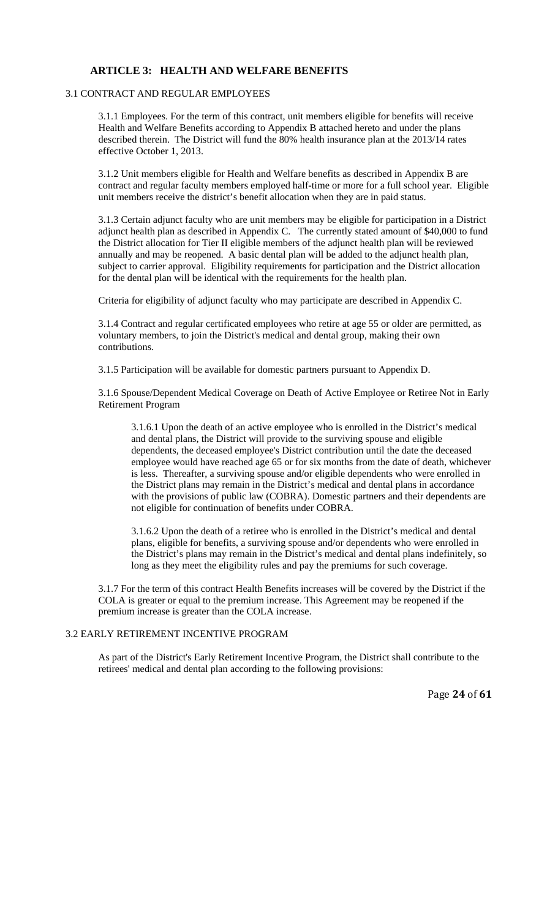# **ARTICLE 3: HEALTH AND WELFARE BENEFITS**

# 3.1 CONTRACT AND REGULAR EMPLOYEES

3.1.1 Employees. For the term of this contract, unit members eligible for benefits will receive Health and Welfare Benefits according to Appendix B attached hereto and under the plans described therein. The District will fund the 80% health insurance plan at the 2013/14 rates effective October 1, 2013.

3.1.2 Unit members eligible for Health and Welfare benefits as described in Appendix B are contract and regular faculty members employed half-time or more for a full school year. Eligible unit members receive the district's benefit allocation when they are in paid status.

3.1.3 Certain adjunct faculty who are unit members may be eligible for participation in a District adjunct health plan as described in Appendix C. The currently stated amount of \$40,000 to fund the District allocation for Tier II eligible members of the adjunct health plan will be reviewed annually and may be reopened. A basic dental plan will be added to the adjunct health plan, subject to carrier approval. Eligibility requirements for participation and the District allocation for the dental plan will be identical with the requirements for the health plan.

Criteria for eligibility of adjunct faculty who may participate are described in Appendix C.

3.1.4 Contract and regular certificated employees who retire at age 55 or older are permitted, as voluntary members, to join the District's medical and dental group, making their own contributions.

3.1.5 Participation will be available for domestic partners pursuant to Appendix D.

3.1.6 Spouse/Dependent Medical Coverage on Death of Active Employee or Retiree Not in Early Retirement Program

3.1.6.1 Upon the death of an active employee who is enrolled in the District's medical and dental plans, the District will provide to the surviving spouse and eligible dependents, the deceased employee's District contribution until the date the deceased employee would have reached age 65 or for six months from the date of death, whichever is less. Thereafter, a surviving spouse and/or eligible dependents who were enrolled in the District plans may remain in the District's medical and dental plans in accordance with the provisions of public law (COBRA). Domestic partners and their dependents are not eligible for continuation of benefits under COBRA.

3.1.6.2 Upon the death of a retiree who is enrolled in the District's medical and dental plans, eligible for benefits, a surviving spouse and/or dependents who were enrolled in the District's plans may remain in the District's medical and dental plans indefinitely, so long as they meet the eligibility rules and pay the premiums for such coverage.

3.1.7 For the term of this contract Health Benefits increases will be covered by the District if the COLA is greater or equal to the premium increase. This Agreement may be reopened if the premium increase is greater than the COLA increase.

# 3.2 EARLY RETIREMENT INCENTIVE PROGRAM

As part of the District's Early Retirement Incentive Program, the District shall contribute to the retirees' medical and dental plan according to the following provisions:

Page **24** of **61**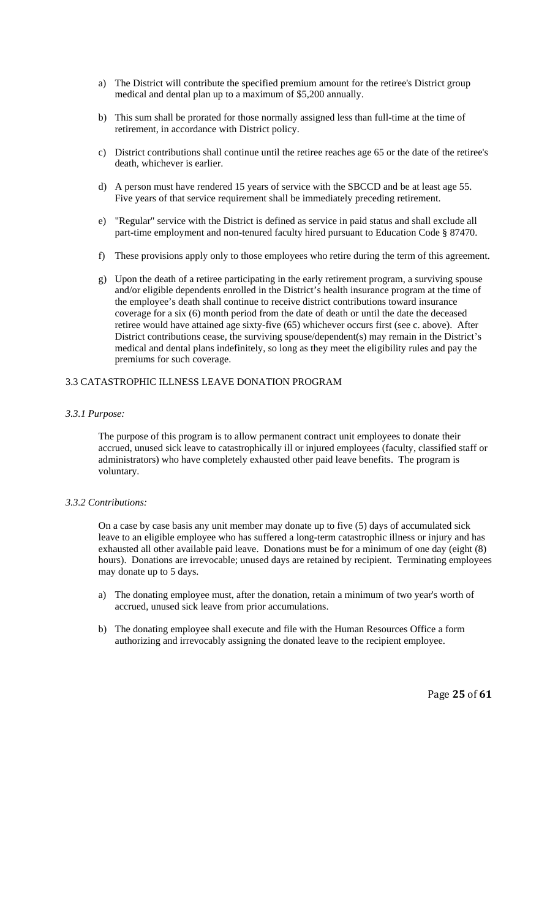- a) The District will contribute the specified premium amount for the retiree's District group medical and dental plan up to a maximum of \$5,200 annually.
- b) This sum shall be prorated for those normally assigned less than full-time at the time of retirement, in accordance with District policy.
- c) District contributions shall continue until the retiree reaches age 65 or the date of the retiree's death, whichever is earlier.
- d) A person must have rendered 15 years of service with the SBCCD and be at least age 55. Five years of that service requirement shall be immediately preceding retirement.
- e) "Regular" service with the District is defined as service in paid status and shall exclude all part-time employment and non-tenured faculty hired pursuant to Education Code § 87470.
- f) These provisions apply only to those employees who retire during the term of this agreement.
- g) Upon the death of a retiree participating in the early retirement program, a surviving spouse and/or eligible dependents enrolled in the District's health insurance program at the time of the employee's death shall continue to receive district contributions toward insurance coverage for a six (6) month period from the date of death or until the date the deceased retiree would have attained age sixty-five (65) whichever occurs first (see c. above). After District contributions cease, the surviving spouse/dependent(s) may remain in the District's medical and dental plans indefinitely, so long as they meet the eligibility rules and pay the premiums for such coverage.

### 3.3 CATASTROPHIC ILLNESS LEAVE DONATION PROGRAM

### *3.3.1 Purpose:*

The purpose of this program is to allow permanent contract unit employees to donate their accrued, unused sick leave to catastrophically ill or injured employees (faculty, classified staff or administrators) who have completely exhausted other paid leave benefits. The program is voluntary.

#### *3.3.2 Contributions:*

On a case by case basis any unit member may donate up to five (5) days of accumulated sick leave to an eligible employee who has suffered a long-term catastrophic illness or injury and has exhausted all other available paid leave. Donations must be for a minimum of one day (eight (8) hours). Donations are irrevocable; unused days are retained by recipient. Terminating employees may donate up to 5 days.

- a) The donating employee must, after the donation, retain a minimum of two year's worth of accrued, unused sick leave from prior accumulations.
- b) The donating employee shall execute and file with the Human Resources Office a form authorizing and irrevocably assigning the donated leave to the recipient employee.

Page **25** of **61**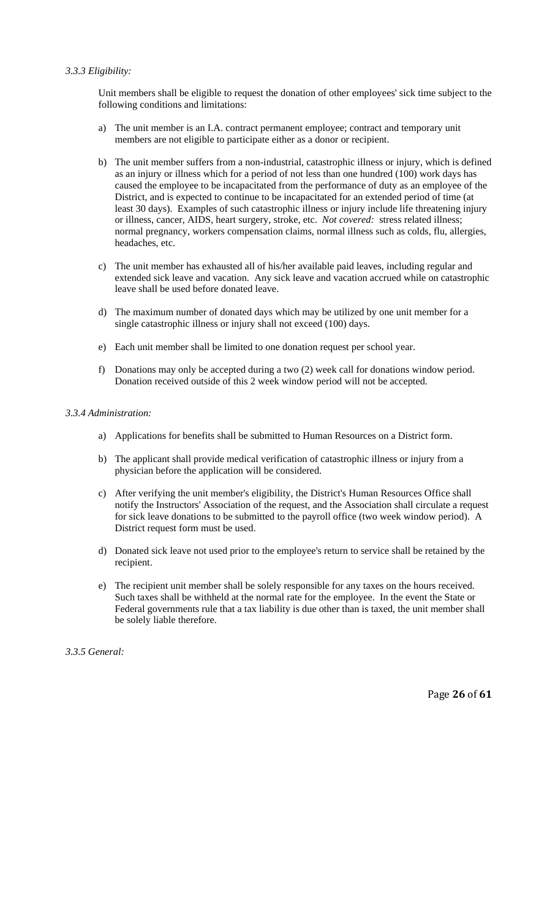# *3.3.3 Eligibility:*

Unit members shall be eligible to request the donation of other employees' sick time subject to the following conditions and limitations:

- a) The unit member is an I.A. contract permanent employee; contract and temporary unit members are not eligible to participate either as a donor or recipient.
- b) The unit member suffers from a non-industrial, catastrophic illness or injury, which is defined as an injury or illness which for a period of not less than one hundred (100) work days has caused the employee to be incapacitated from the performance of duty as an employee of the District, and is expected to continue to be incapacitated for an extended period of time (at least 30 days). Examples of such catastrophic illness or injury include life threatening injury or illness, cancer, AIDS, heart surgery, stroke, etc. *Not covered:* stress related illness; normal pregnancy, workers compensation claims, normal illness such as colds, flu, allergies, headaches, etc.
- c) The unit member has exhausted all of his/her available paid leaves, including regular and extended sick leave and vacation. Any sick leave and vacation accrued while on catastrophic leave shall be used before donated leave.
- d) The maximum number of donated days which may be utilized by one unit member for a single catastrophic illness or injury shall not exceed (100) days.
- e) Each unit member shall be limited to one donation request per school year.
- f) Donations may only be accepted during a two (2) week call for donations window period. Donation received outside of this 2 week window period will not be accepted.

### *3.3.4 Administration:*

- a) Applications for benefits shall be submitted to Human Resources on a District form.
- b) The applicant shall provide medical verification of catastrophic illness or injury from a physician before the application will be considered.
- c) After verifying the unit member's eligibility, the District's Human Resources Office shall notify the Instructors' Association of the request, and the Association shall circulate a request for sick leave donations to be submitted to the payroll office (two week window period).A District request form must be used.
- d) Donated sick leave not used prior to the employee's return to service shall be retained by the recipient.
- e) The recipient unit member shall be solely responsible for any taxes on the hours received. Such taxes shall be withheld at the normal rate for the employee. In the event the State or Federal governments rule that a tax liability is due other than is taxed, the unit member shall be solely liable therefore.

*3.3.5 General:* 

Page **26** of **61**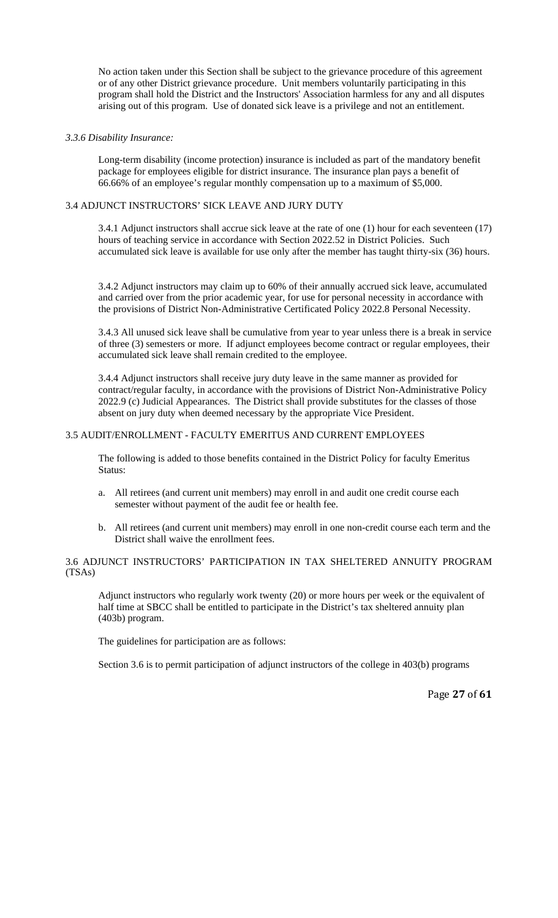No action taken under this Section shall be subject to the grievance procedure of this agreement or of any other District grievance procedure. Unit members voluntarily participating in this program shall hold the District and the Instructors' Association harmless for any and all disputes arising out of this program. Use of donated sick leave is a privilege and not an entitlement.

### *3.3.6 Disability Insurance:*

Long-term disability (income protection) insurance is included as part of the mandatory benefit package for employees eligible for district insurance. The insurance plan pays a benefit of 66.66% of an employee's regular monthly compensation up to a maximum of \$5,000.

# 3.4 ADJUNCT INSTRUCTORS' SICK LEAVE AND JURY DUTY

3.4.1 Adjunct instructors shall accrue sick leave at the rate of one (1) hour for each seventeen (17) hours of teaching service in accordance with Section 2022.52 in District Policies. Such accumulated sick leave is available for use only after the member has taught thirty-six (36) hours.

3.4.2 Adjunct instructors may claim up to 60% of their annually accrued sick leave, accumulated and carried over from the prior academic year, for use for personal necessity in accordance with the provisions of District Non-Administrative Certificated Policy 2022.8 Personal Necessity.

3.4.3 All unused sick leave shall be cumulative from year to year unless there is a break in service of three (3) semesters or more. If adjunct employees become contract or regular employees, their accumulated sick leave shall remain credited to the employee.

3.4.4 Adjunct instructors shall receive jury duty leave in the same manner as provided for contract/regular faculty, in accordance with the provisions of District Non-Administrative Policy 2022.9 (c) Judicial Appearances. The District shall provide substitutes for the classes of those absent on jury duty when deemed necessary by the appropriate Vice President.

# 3.5 AUDIT/ENROLLMENT - FACULTY EMERITUS AND CURRENT EMPLOYEES

The following is added to those benefits contained in the District Policy for faculty Emeritus Status:

- a. All retirees (and current unit members) may enroll in and audit one credit course each semester without payment of the audit fee or health fee.
- b. All retirees (and current unit members) may enroll in one non-credit course each term and the District shall waive the enrollment fees.

### 3.6 ADJUNCT INSTRUCTORS' PARTICIPATION IN TAX SHELTERED ANNUITY PROGRAM (TSAs)

Adjunct instructors who regularly work twenty (20) or more hours per week or the equivalent of half time at SBCC shall be entitled to participate in the District's tax sheltered annuity plan (403b) program.

The guidelines for participation are as follows:

Section 3.6 is to permit participation of adjunct instructors of the college in 403(b) programs

Page **27** of **61**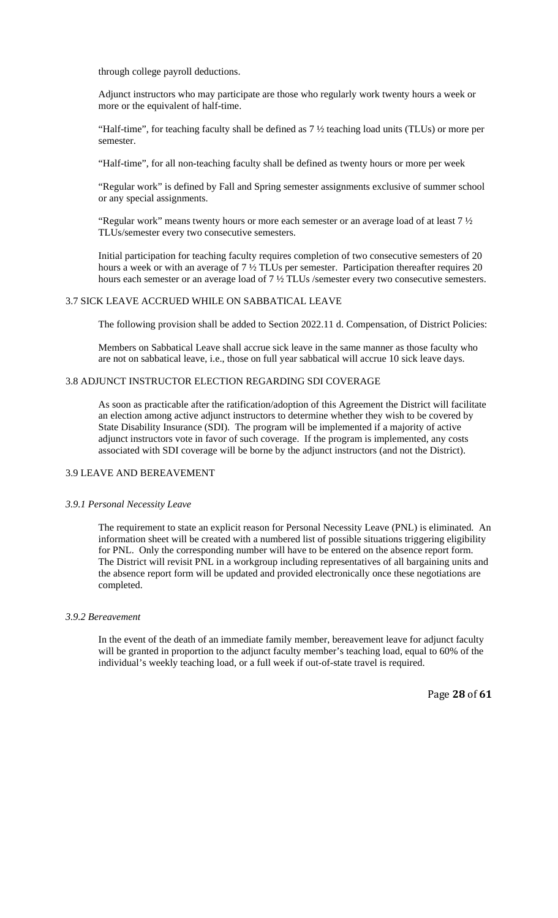through college payroll deductions.

Adjunct instructors who may participate are those who regularly work twenty hours a week or more or the equivalent of half-time.

"Half-time", for teaching faculty shall be defined as 7 ½ teaching load units (TLUs) or more per semester.

"Half-time", for all non-teaching faculty shall be defined as twenty hours or more per week

"Regular work" is defined by Fall and Spring semester assignments exclusive of summer school or any special assignments.

"Regular work" means twenty hours or more each semester or an average load of at least 7 ½ TLUs/semester every two consecutive semesters.

Initial participation for teaching faculty requires completion of two consecutive semesters of 20 hours a week or with an average of 7  $\frac{1}{2}$  TLUs per semester. Participation thereafter requires 20 hours each semester or an average load of 7  $\frac{1}{2}$  TLUs /semester every two consecutive semesters.

# 3.7 SICK LEAVE ACCRUED WHILE ON SABBATICAL LEAVE

The following provision shall be added to Section 2022.11 d. Compensation, of District Policies:

Members on Sabbatical Leave shall accrue sick leave in the same manner as those faculty who are not on sabbatical leave, i.e., those on full year sabbatical will accrue 10 sick leave days.

### 3.8 ADJUNCT INSTRUCTOR ELECTION REGARDING SDI COVERAGE

As soon as practicable after the ratification/adoption of this Agreement the District will facilitate an election among active adjunct instructors to determine whether they wish to be covered by State Disability Insurance (SDI). The program will be implemented if a majority of active adjunct instructors vote in favor of such coverage. If the program is implemented, any costs associated with SDI coverage will be borne by the adjunct instructors (and not the District).

### 3.9 LEAVE AND BEREAVEMENT

#### *3.9.1 Personal Necessity Leave*

The requirement to state an explicit reason for Personal Necessity Leave (PNL) is eliminated. An information sheet will be created with a numbered list of possible situations triggering eligibility for PNL. Only the corresponding number will have to be entered on the absence report form. The District will revisit PNL in a workgroup including representatives of all bargaining units and the absence report form will be updated and provided electronically once these negotiations are completed.

#### *3.9.2 Bereavement*

In the event of the death of an immediate family member, bereavement leave for adjunct faculty will be granted in proportion to the adjunct faculty member's teaching load, equal to 60% of the individual's weekly teaching load, or a full week if out-of-state travel is required.

Page **28** of **61**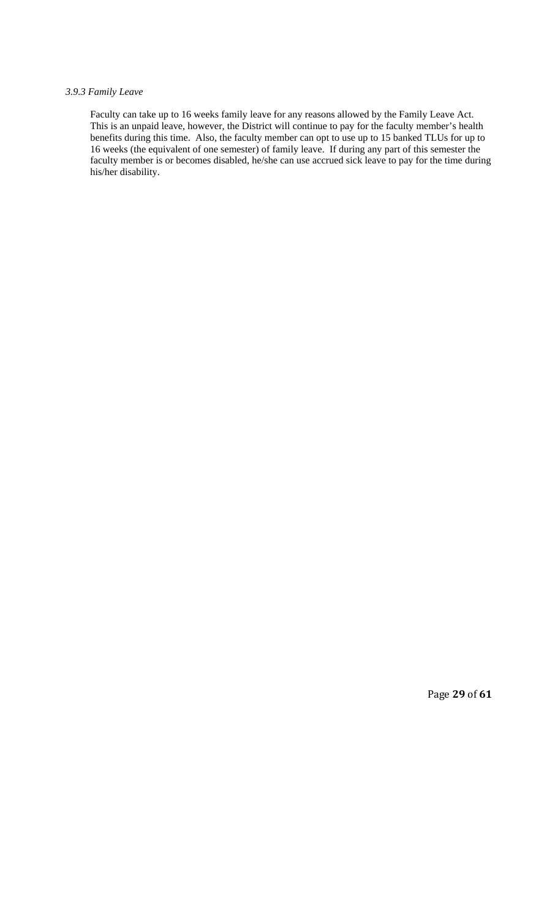## *3.9.3 Family Leave*

Faculty can take up to 16 weeks family leave for any reasons allowed by the Family Leave Act. This is an unpaid leave, however, the District will continue to pay for the faculty member's health benefits during this time. Also, the faculty member can opt to use up to 15 banked TLUs for up to 16 weeks (the equivalent of one semester) of family leave. If during any part of this semester the faculty member is or becomes disabled, he/she can use accrued sick leave to pay for the time during his/her disability.

Page **29** of **61**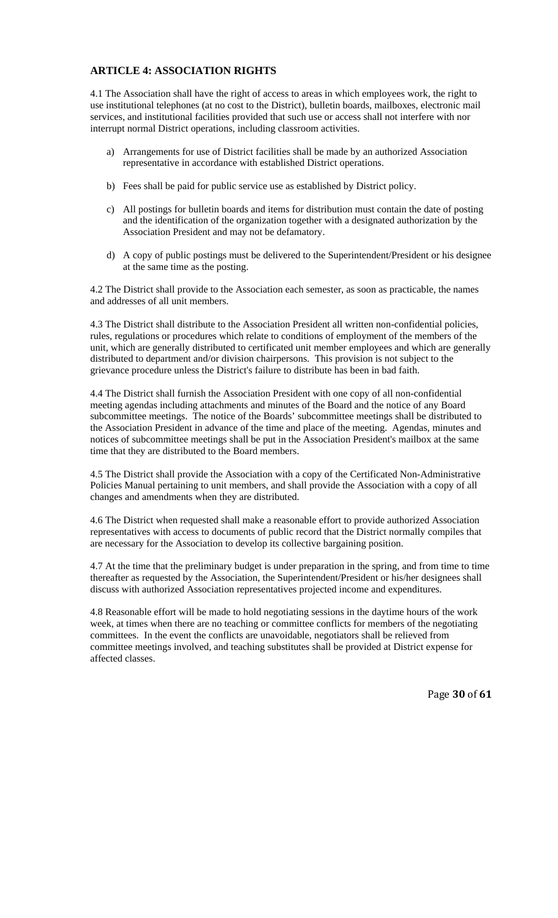# **ARTICLE 4: ASSOCIATION RIGHTS**

4.1 The Association shall have the right of access to areas in which employees work, the right to use institutional telephones (at no cost to the District), bulletin boards, mailboxes, electronic mail services, and institutional facilities provided that such use or access shall not interfere with nor interrupt normal District operations, including classroom activities.

- a) Arrangements for use of District facilities shall be made by an authorized Association representative in accordance with established District operations.
- b) Fees shall be paid for public service use as established by District policy.
- c) All postings for bulletin boards and items for distribution must contain the date of posting and the identification of the organization together with a designated authorization by the Association President and may not be defamatory.
- d) A copy of public postings must be delivered to the Superintendent/President or his designee at the same time as the posting.

4.2 The District shall provide to the Association each semester, as soon as practicable, the names and addresses of all unit members.

4.3 The District shall distribute to the Association President all written non-confidential policies, rules, regulations or procedures which relate to conditions of employment of the members of the unit, which are generally distributed to certificated unit member employees and which are generally distributed to department and/or division chairpersons. This provision is not subject to the grievance procedure unless the District's failure to distribute has been in bad faith.

4.4 The District shall furnish the Association President with one copy of all non-confidential meeting agendas including attachments and minutes of the Board and the notice of any Board subcommittee meetings. The notice of the Boards' subcommittee meetings shall be distributed to the Association President in advance of the time and place of the meeting. Agendas, minutes and notices of subcommittee meetings shall be put in the Association President's mailbox at the same time that they are distributed to the Board members.

4.5 The District shall provide the Association with a copy of the Certificated Non-Administrative Policies Manual pertaining to unit members, and shall provide the Association with a copy of all changes and amendments when they are distributed.

4.6 The District when requested shall make a reasonable effort to provide authorized Association representatives with access to documents of public record that the District normally compiles that are necessary for the Association to develop its collective bargaining position.

4.7 At the time that the preliminary budget is under preparation in the spring, and from time to time thereafter as requested by the Association, the Superintendent/President or his/her designees shall discuss with authorized Association representatives projected income and expenditures.

4.8 Reasonable effort will be made to hold negotiating sessions in the daytime hours of the work week, at times when there are no teaching or committee conflicts for members of the negotiating committees. In the event the conflicts are unavoidable, negotiators shall be relieved from committee meetings involved, and teaching substitutes shall be provided at District expense for affected classes.

Page **30** of **61**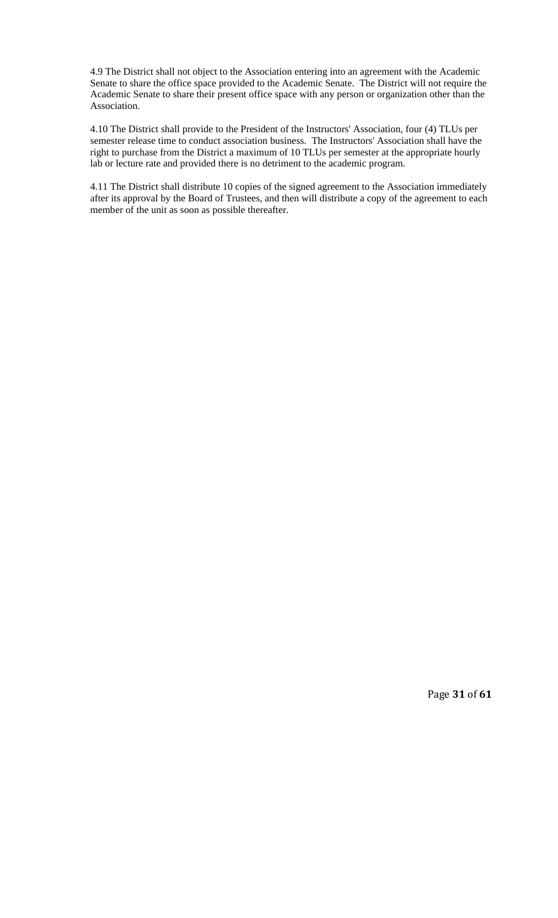4.9 The District shall not object to the Association entering into an agreement with the Academic Senate to share the office space provided to the Academic Senate. The District will not require the Academic Senate to share their present office space with any person or organization other than the Association.

4.10 The District shall provide to the President of the Instructors' Association, four (4) TLUs per semester release time to conduct association business. The Instructors' Association shall have the right to purchase from the District a maximum of 10 TLUs per semester at the appropriate hourly lab or lecture rate and provided there is no detriment to the academic program.

4.11 The District shall distribute 10 copies of the signed agreement to the Association immediately after its approval by the Board of Trustees, and then will distribute a copy of the agreement to each member of the unit as soon as possible thereafter.

Page **31** of **61**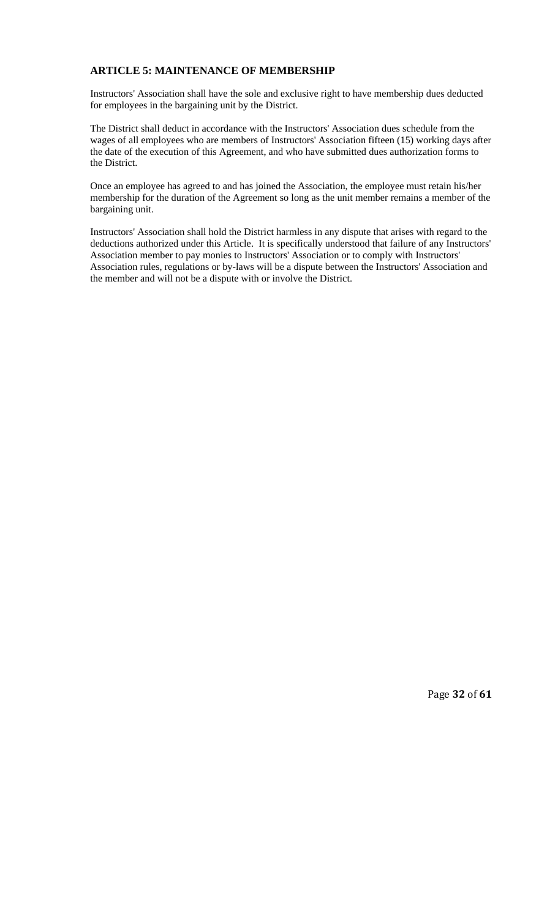# **ARTICLE 5: MAINTENANCE OF MEMBERSHIP**

Instructors' Association shall have the sole and exclusive right to have membership dues deducted for employees in the bargaining unit by the District.

The District shall deduct in accordance with the Instructors' Association dues schedule from the wages of all employees who are members of Instructors' Association fifteen (15) working days after the date of the execution of this Agreement, and who have submitted dues authorization forms to the District.

Once an employee has agreed to and has joined the Association, the employee must retain his/her membership for the duration of the Agreement so long as the unit member remains a member of the bargaining unit.

Instructors' Association shall hold the District harmless in any dispute that arises with regard to the deductions authorized under this Article. It is specifically understood that failure of any Instructors' Association member to pay monies to Instructors' Association or to comply with Instructors' Association rules, regulations or by-laws will be a dispute between the Instructors' Association and the member and will not be a dispute with or involve the District.

Page **32** of **61**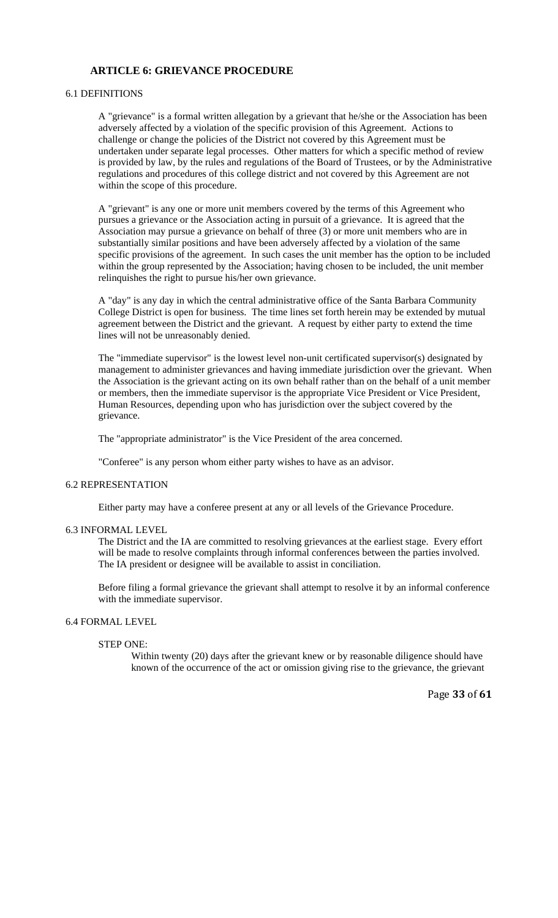# **ARTICLE 6: GRIEVANCE PROCEDURE**

# 6.1 DEFINITIONS

A "grievance" is a formal written allegation by a grievant that he/she or the Association has been adversely affected by a violation of the specific provision of this Agreement. Actions to challenge or change the policies of the District not covered by this Agreement must be undertaken under separate legal processes. Other matters for which a specific method of review is provided by law, by the rules and regulations of the Board of Trustees, or by the Administrative regulations and procedures of this college district and not covered by this Agreement are not within the scope of this procedure.

A "grievant" is any one or more unit members covered by the terms of this Agreement who pursues a grievance or the Association acting in pursuit of a grievance. It is agreed that the Association may pursue a grievance on behalf of three (3) or more unit members who are in substantially similar positions and have been adversely affected by a violation of the same specific provisions of the agreement. In such cases the unit member has the option to be included within the group represented by the Association; having chosen to be included, the unit member relinquishes the right to pursue his/her own grievance.

A "day" is any day in which the central administrative office of the Santa Barbara Community College District is open for business. The time lines set forth herein may be extended by mutual agreement between the District and the grievant. A request by either party to extend the time lines will not be unreasonably denied.

The "immediate supervisor" is the lowest level non-unit certificated supervisor(s) designated by management to administer grievances and having immediate jurisdiction over the grievant. When the Association is the grievant acting on its own behalf rather than on the behalf of a unit member or members, then the immediate supervisor is the appropriate Vice President or Vice President, Human Resources, depending upon who has jurisdiction over the subject covered by the grievance.

The "appropriate administrator" is the Vice President of the area concerned.

"Conferee" is any person whom either party wishes to have as an advisor.

#### 6.2 REPRESENTATION

Either party may have a conferee present at any or all levels of the Grievance Procedure.

#### 6.3 INFORMAL LEVEL

The District and the IA are committed to resolving grievances at the earliest stage. Every effort will be made to resolve complaints through informal conferences between the parties involved. The IA president or designee will be available to assist in conciliation.

Before filing a formal grievance the grievant shall attempt to resolve it by an informal conference with the immediate supervisor.

### 6.4 FORMAL LEVEL

# STEP ONE:

Within twenty (20) days after the grievant knew or by reasonable diligence should have known of the occurrence of the act or omission giving rise to the grievance, the grievant

Page **33** of **61**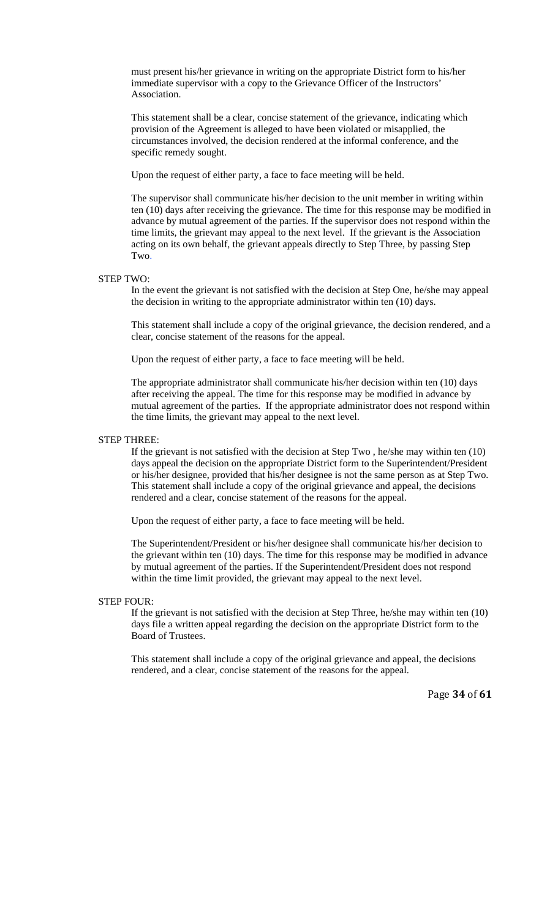must present his/her grievance in writing on the appropriate District form to his/her immediate supervisor with a copy to the Grievance Officer of the Instructors' Association.

This statement shall be a clear, concise statement of the grievance, indicating which provision of the Agreement is alleged to have been violated or misapplied, the circumstances involved, the decision rendered at the informal conference, and the specific remedy sought.

Upon the request of either party, a face to face meeting will be held.

The supervisor shall communicate his/her decision to the unit member in writing within ten (10) days after receiving the grievance. The time for this response may be modified in advance by mutual agreement of the parties. If the supervisor does not respond within the time limits, the grievant may appeal to the next level. If the grievant is the Association acting on its own behalf, the grievant appeals directly to Step Three, by passing Step Two.

### STEP TWO:

In the event the grievant is not satisfied with the decision at Step One, he/she may appeal the decision in writing to the appropriate administrator within ten (10) days.

This statement shall include a copy of the original grievance, the decision rendered, and a clear, concise statement of the reasons for the appeal.

Upon the request of either party, a face to face meeting will be held.

The appropriate administrator shall communicate his/her decision within ten (10) days after receiving the appeal. The time for this response may be modified in advance by mutual agreement of the parties. If the appropriate administrator does not respond within the time limits, the grievant may appeal to the next level.

#### STEP THREE:

If the grievant is not satisfied with the decision at Step Two , he/she may within ten (10) days appeal the decision on the appropriate District form to the Superintendent/President or his/her designee, provided that his/her designee is not the same person as at Step Two. This statement shall include a copy of the original grievance and appeal, the decisions rendered and a clear, concise statement of the reasons for the appeal.

Upon the request of either party, a face to face meeting will be held.

The Superintendent/President or his/her designee shall communicate his/her decision to the grievant within ten (10) days. The time for this response may be modified in advance by mutual agreement of the parties. If the Superintendent/President does not respond within the time limit provided, the grievant may appeal to the next level.

### STEP FOUR:

If the grievant is not satisfied with the decision at Step Three, he/she may within ten (10) days file a written appeal regarding the decision on the appropriate District form to the Board of Trustees.

This statement shall include a copy of the original grievance and appeal, the decisions rendered, and a clear, concise statement of the reasons for the appeal.

Page **34** of **61**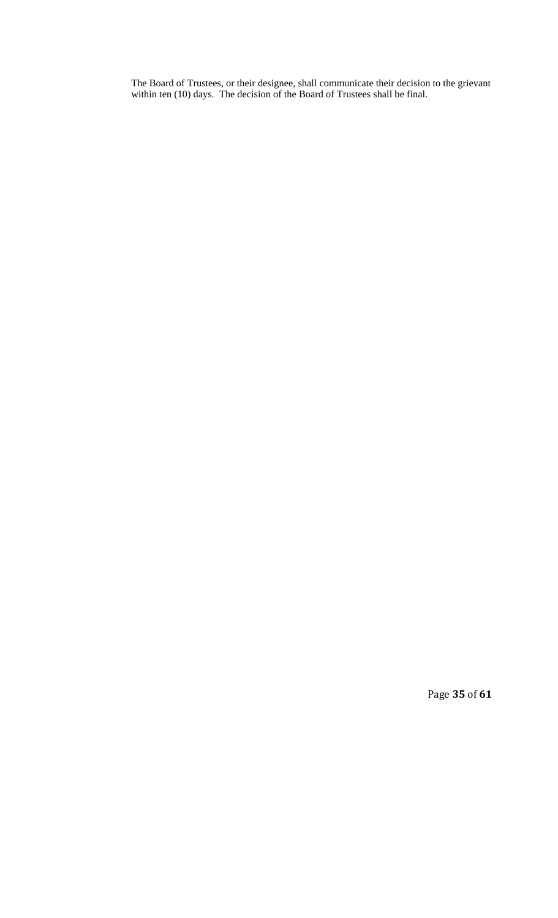The Board of Trustees, or their designee, shall communicate their decision to the grievant within ten (10) days. The decision of the Board of Trustees shall be final.

Page **35** of **61**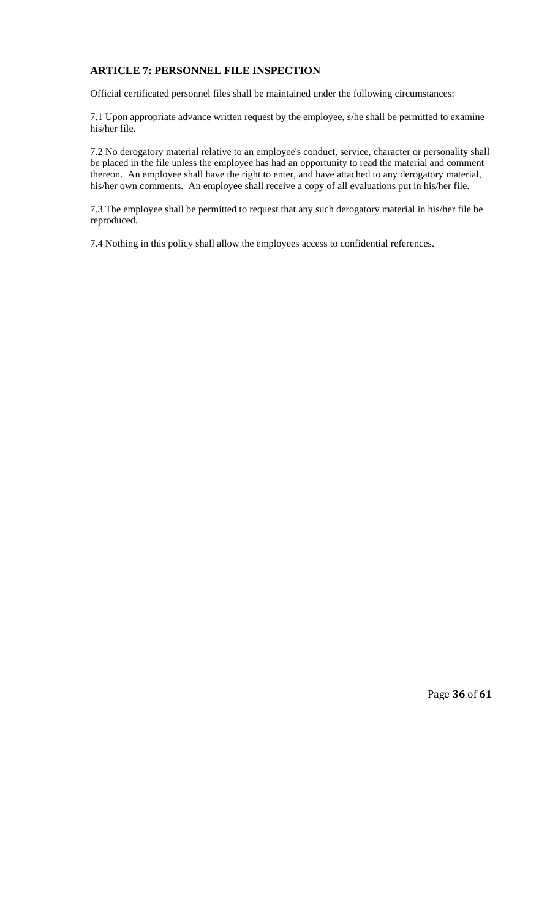# **ARTICLE 7: PERSONNEL FILE INSPECTION**

Official certificated personnel files shall be maintained under the following circumstances:

7.1 Upon appropriate advance written request by the employee, s/he shall be permitted to examine his/her file.

7.2 No derogatory material relative to an employee's conduct, service, character or personality shall be placed in the file unless the employee has had an opportunity to read the material and comment thereon. An employee shall have the right to enter, and have attached to any derogatory material, his/her own comments. An employee shall receive a copy of all evaluations put in his/her file.

7.3 The employee shall be permitted to request that any such derogatory material in his/her file be reproduced.

7.4 Nothing in this policy shall allow the employees access to confidential references.

Page **36** of **61**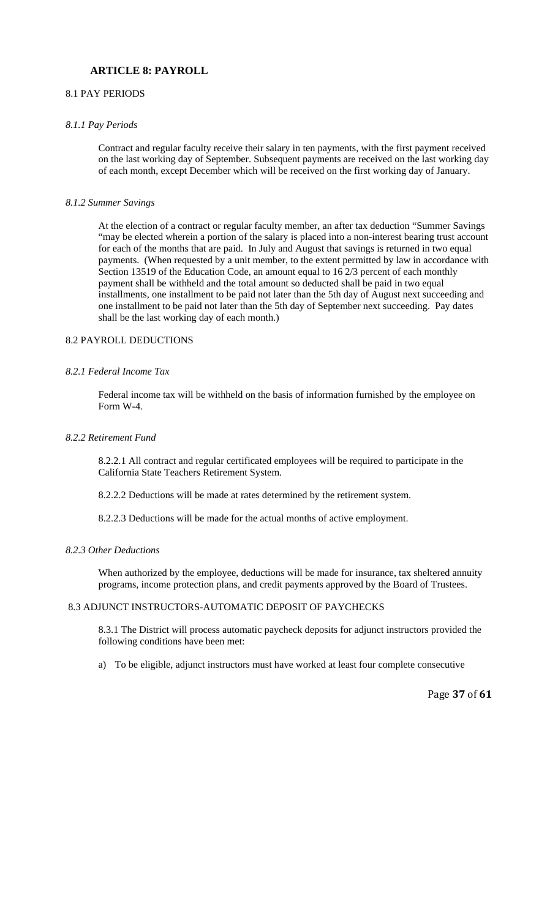# **ARTICLE 8: PAYROLL**

# 8.1 PAY PERIODS

#### *8.1.1 Pay Periods*

Contract and regular faculty receive their salary in ten payments, with the first payment received on the last working day of September. Subsequent payments are received on the last working day of each month, except December which will be received on the first working day of January.

## *8.1.2 Summer Savings*

At the election of a contract or regular faculty member, an after tax deduction "Summer Savings "may be elected wherein a portion of the salary is placed into a non-interest bearing trust account for each of the months that are paid. In July and August that savings is returned in two equal payments. (When requested by a unit member, to the extent permitted by law in accordance with Section 13519 of the Education Code, an amount equal to 16 2/3 percent of each monthly payment shall be withheld and the total amount so deducted shall be paid in two equal installments, one installment to be paid not later than the 5th day of August next succeeding and one installment to be paid not later than the 5th day of September next succeeding. Pay dates shall be the last working day of each month.)

### 8.2 PAYROLL DEDUCTIONS

### *8.2.1 Federal Income Tax*

Federal income tax will be withheld on the basis of information furnished by the employee on Form W-4.

### *8.2.2 Retirement Fund*

8.2.2.1 All contract and regular certificated employees will be required to participate in the California State Teachers Retirement System.

8.2.2.2 Deductions will be made at rates determined by the retirement system.

8.2.2.3 Deductions will be made for the actual months of active employment.

#### *8.2.3 Other Deductions*

When authorized by the employee, deductions will be made for insurance, tax sheltered annuity programs, income protection plans, and credit payments approved by the Board of Trustees.

### 8.3 ADJUNCT INSTRUCTORS-AUTOMATIC DEPOSIT OF PAYCHECKS

8.3.1 The District will process automatic paycheck deposits for adjunct instructors provided the following conditions have been met:

a) To be eligible, adjunct instructors must have worked at least four complete consecutive

Page **37** of **61**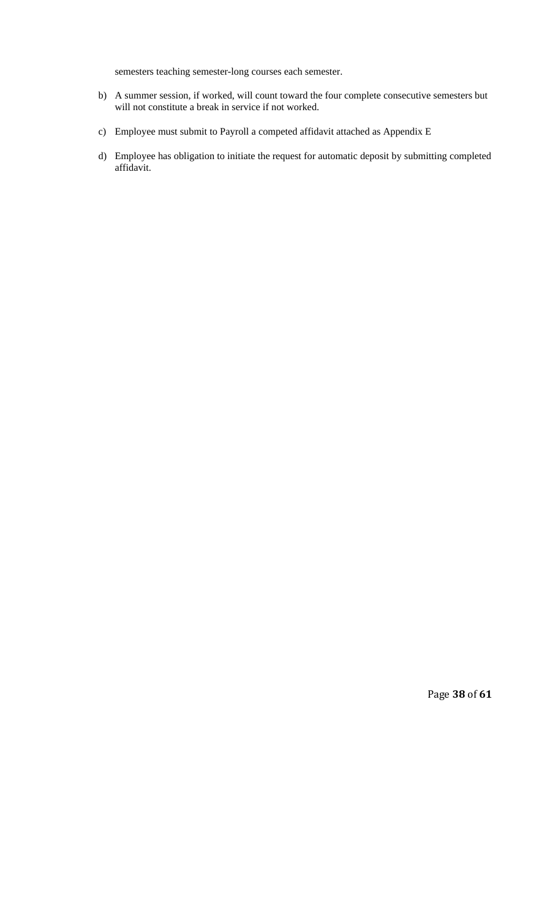semesters teaching semester-long courses each semester.

- b) A summer session, if worked, will count toward the four complete consecutive semesters but will not constitute a break in service if not worked.
- c) Employee must submit to Payroll a competed affidavit attached as Appendix E
- d) Employee has obligation to initiate the request for automatic deposit by submitting completed affidavit.

Page **38** of **61**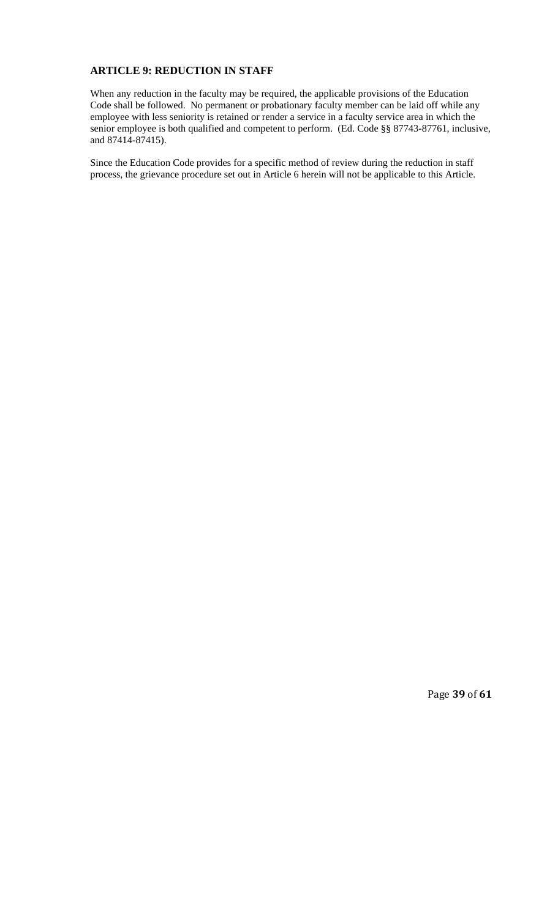# **ARTICLE 9: REDUCTION IN STAFF**

When any reduction in the faculty may be required, the applicable provisions of the Education Code shall be followed. No permanent or probationary faculty member can be laid off while any employee with less seniority is retained or render a service in a faculty service area in which the senior employee is both qualified and competent to perform. (Ed. Code §§ 87743-87761, inclusive, and 87414-87415).

Since the Education Code provides for a specific method of review during the reduction in staff process, the grievance procedure set out in Article 6 herein will not be applicable to this Article.

Page **39** of **61**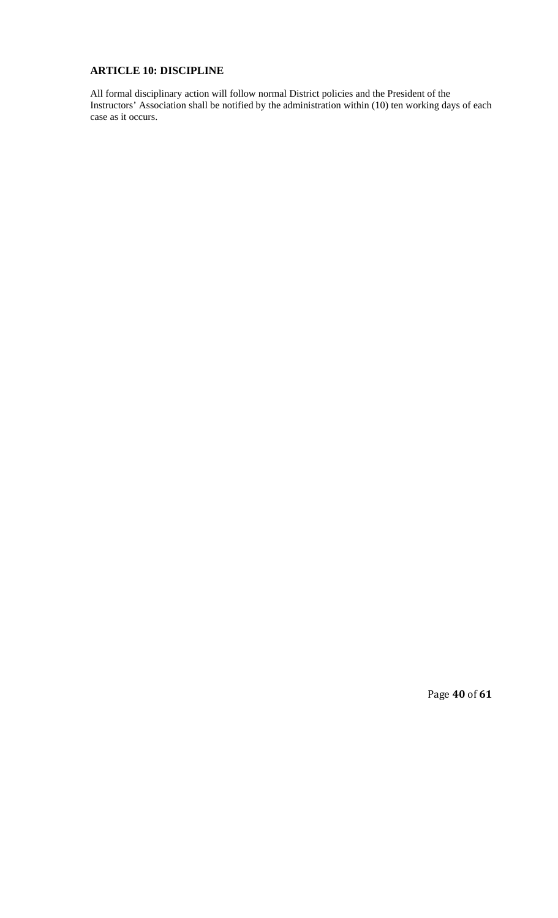# **ARTICLE 10: DISCIPLINE**

All formal disciplinary action will follow normal District policies and the President of the Instructors' Association shall be notified by the administration within (10) ten working days of each case as it occurs.

Page **40** of **61**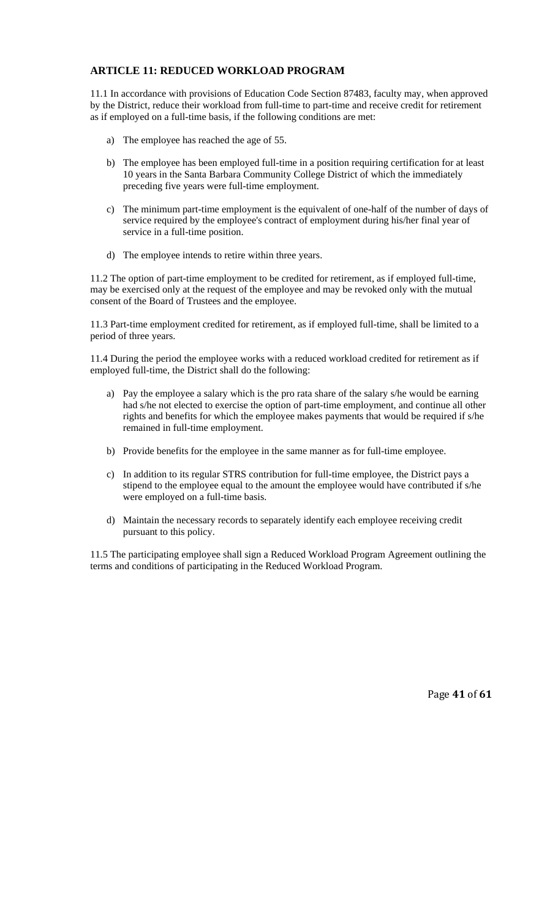# **ARTICLE 11: REDUCED WORKLOAD PROGRAM**

11.1 In accordance with provisions of Education Code Section 87483, faculty may, when approved by the District, reduce their workload from full-time to part-time and receive credit for retirement as if employed on a full-time basis, if the following conditions are met:

- a) The employee has reached the age of 55.
- b) The employee has been employed full-time in a position requiring certification for at least 10 years in the Santa Barbara Community College District of which the immediately preceding five years were full-time employment.
- c) The minimum part-time employment is the equivalent of one-half of the number of days of service required by the employee's contract of employment during his/her final year of service in a full-time position.
- d) The employee intends to retire within three years.

11.2 The option of part-time employment to be credited for retirement, as if employed full-time, may be exercised only at the request of the employee and may be revoked only with the mutual consent of the Board of Trustees and the employee.

11.3 Part-time employment credited for retirement, as if employed full-time, shall be limited to a period of three years.

11.4 During the period the employee works with a reduced workload credited for retirement as if employed full-time, the District shall do the following:

- a) Pay the employee a salary which is the pro rata share of the salary s/he would be earning had s/he not elected to exercise the option of part-time employment, and continue all other rights and benefits for which the employee makes payments that would be required if s/he remained in full-time employment.
- b) Provide benefits for the employee in the same manner as for full-time employee.
- c) In addition to its regular STRS contribution for full-time employee, the District pays a stipend to the employee equal to the amount the employee would have contributed if s/he were employed on a full-time basis.
- d) Maintain the necessary records to separately identify each employee receiving credit pursuant to this policy.

11.5 The participating employee shall sign a Reduced Workload Program Agreement outlining the terms and conditions of participating in the Reduced Workload Program.

Page **41** of **61**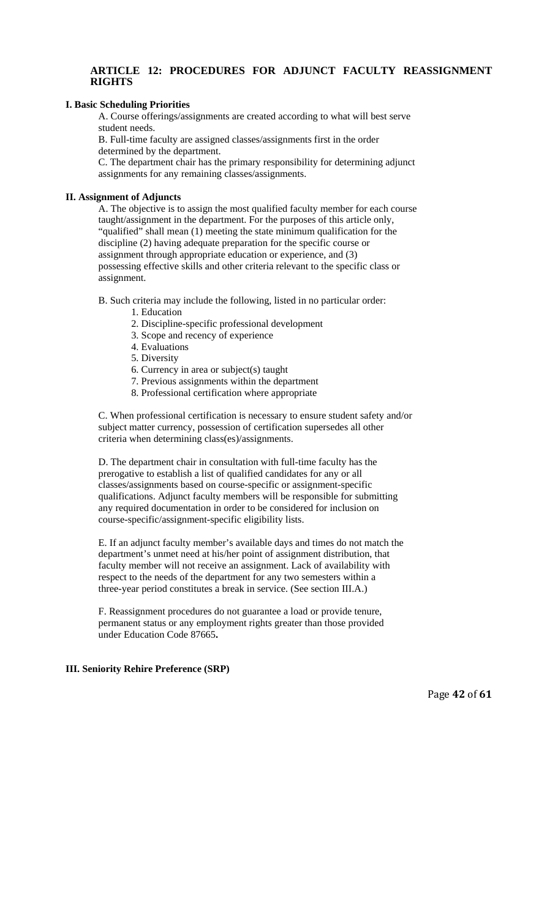# **ARTICLE 12: PROCEDURES FOR ADJUNCT FACULTY REASSIGNMENT RIGHTS**

# **I. Basic Scheduling Priorities**

A. Course offerings/assignments are created according to what will best serve student needs.

B. Full-time faculty are assigned classes/assignments first in the order determined by the department.

C. The department chair has the primary responsibility for determining adjunct assignments for any remaining classes/assignments.

### **II. Assignment of Adjuncts**

A. The objective is to assign the most qualified faculty member for each course taught/assignment in the department. For the purposes of this article only, "qualified" shall mean (1) meeting the state minimum qualification for the discipline (2) having adequate preparation for the specific course or assignment through appropriate education or experience, and (3) possessing effective skills and other criteria relevant to the specific class or assignment.

B. Such criteria may include the following, listed in no particular order:

- 1. Education
- 2. Discipline-specific professional development
- 3. Scope and recency of experience
- 4. Evaluations
- 5. Diversity
- 6. Currency in area or subject(s) taught
- 7. Previous assignments within the department
- 8. Professional certification where appropriate

C. When professional certification is necessary to ensure student safety and/or subject matter currency, possession of certification supersedes all other criteria when determining class(es)/assignments.

D. The department chair in consultation with full-time faculty has the prerogative to establish a list of qualified candidates for any or all classes/assignments based on course-specific or assignment-specific qualifications. Adjunct faculty members will be responsible for submitting any required documentation in order to be considered for inclusion on course-specific/assignment-specific eligibility lists.

E. If an adjunct faculty member's available days and times do not match the department's unmet need at his/her point of assignment distribution, that faculty member will not receive an assignment. Lack of availability with respect to the needs of the department for any two semesters within a three-year period constitutes a break in service. (See section III.A.)

F. Reassignment procedures do not guarantee a load or provide tenure, permanent status or any employment rights greater than those provided under Education Code 87665**.** 

#### **III. Seniority Rehire Preference (SRP)**

Page **42** of **61**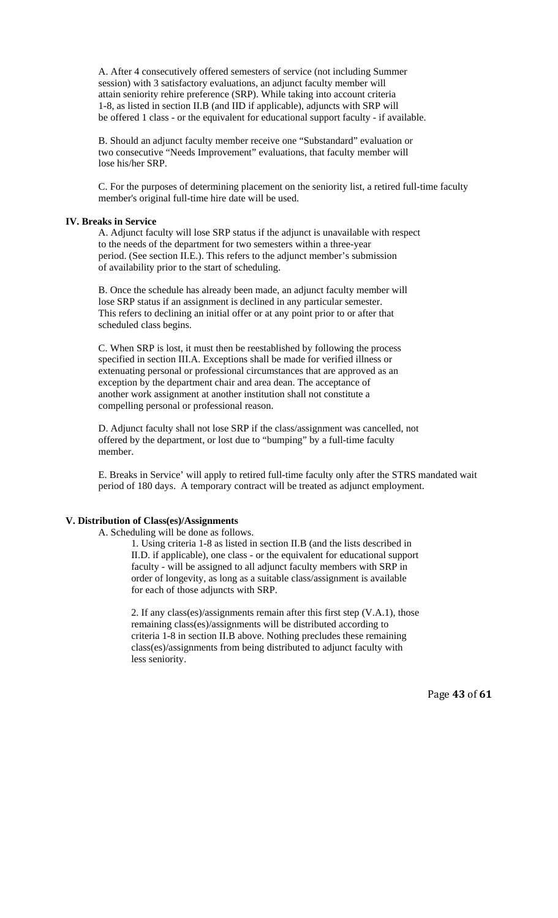A. After 4 consecutively offered semesters of service (not including Summer session) with 3 satisfactory evaluations, an adjunct faculty member will attain seniority rehire preference (SRP). While taking into account criteria 1-8, as listed in section II.B (and IID if applicable), adjuncts with SRP will be offered 1 class - or the equivalent for educational support faculty - if available.

B. Should an adjunct faculty member receive one "Substandard" evaluation or two consecutive "Needs Improvement" evaluations, that faculty member will lose his/her SRP.

C. For the purposes of determining placement on the seniority list, a retired full-time faculty member's original full-time hire date will be used.

#### **IV. Breaks in Service**

A. Adjunct faculty will lose SRP status if the adjunct is unavailable with respect to the needs of the department for two semesters within a three-year period. (See section II.E.). This refers to the adjunct member's submission of availability prior to the start of scheduling.

B. Once the schedule has already been made, an adjunct faculty member will lose SRP status if an assignment is declined in any particular semester. This refers to declining an initial offer or at any point prior to or after that scheduled class begins.

C. When SRP is lost, it must then be reestablished by following the process specified in section III.A. Exceptions shall be made for verified illness or extenuating personal or professional circumstances that are approved as an exception by the department chair and area dean. The acceptance of another work assignment at another institution shall not constitute a compelling personal or professional reason.

D. Adjunct faculty shall not lose SRP if the class/assignment was cancelled, not offered by the department, or lost due to "bumping" by a full-time faculty member.

E. Breaks in Service' will apply to retired full-time faculty only after the STRS mandated wait period of 180 days. A temporary contract will be treated as adjunct employment.

# **V. Distribution of Class(es)/Assignments**

A. Scheduling will be done as follows.

1. Using criteria 1-8 as listed in section II.B (and the lists described in II.D. if applicable), one class - or the equivalent for educational support faculty - will be assigned to all adjunct faculty members with SRP in order of longevity, as long as a suitable class/assignment is available for each of those adjuncts with SRP.

2. If any class(es)/assignments remain after this first step (V.A.1), those remaining class(es)/assignments will be distributed according to criteria 1-8 in section II.B above. Nothing precludes these remaining class(es)/assignments from being distributed to adjunct faculty with less seniority.

Page **43** of **61**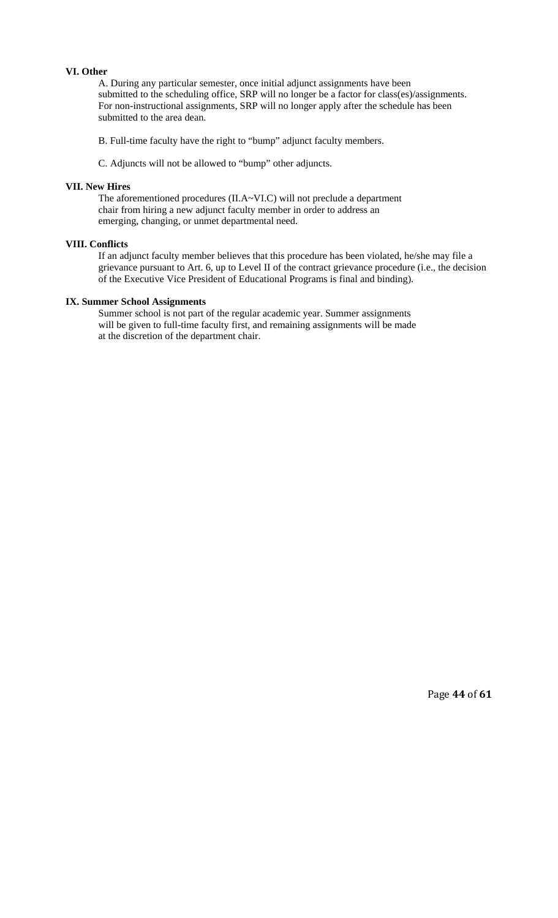# **VI. Other**

A. During any particular semester, once initial adjunct assignments have been submitted to the scheduling office, SRP will no longer be a factor for class(es)/assignments. For non-instructional assignments, SRP will no longer apply after the schedule has been submitted to the area dean.

B. Full-time faculty have the right to "bump" adjunct faculty members.

C. Adjuncts will not be allowed to "bump" other adjuncts.

### **VII. New Hires**

The aforementioned procedures (II.A~VI.C) will not preclude a department chair from hiring a new adjunct faculty member in order to address an emerging, changing, or unmet departmental need.

### **VIII. Conflicts**

If an adjunct faculty member believes that this procedure has been violated, he/she may file a grievance pursuant to Art. 6, up to Level II of the contract grievance procedure (i.e., the decision of the Executive Vice President of Educational Programs is final and binding).

#### **IX. Summer School Assignments**

Summer school is not part of the regular academic year. Summer assignments will be given to full-time faculty first, and remaining assignments will be made at the discretion of the department chair.

Page **44** of **61**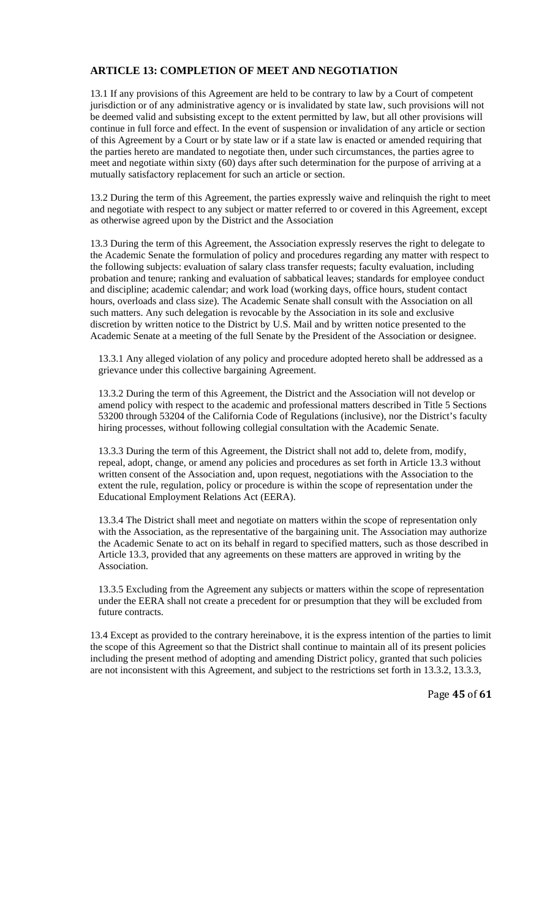# **ARTICLE 13: COMPLETION OF MEET AND NEGOTIATION**

13.1 If any provisions of this Agreement are held to be contrary to law by a Court of competent jurisdiction or of any administrative agency or is invalidated by state law, such provisions will not be deemed valid and subsisting except to the extent permitted by law, but all other provisions will continue in full force and effect. In the event of suspension or invalidation of any article or section of this Agreement by a Court or by state law or if a state law is enacted or amended requiring that the parties hereto are mandated to negotiate then, under such circumstances, the parties agree to meet and negotiate within sixty (60) days after such determination for the purpose of arriving at a mutually satisfactory replacement for such an article or section.

13.2 During the term of this Agreement, the parties expressly waive and relinquish the right to meet and negotiate with respect to any subject or matter referred to or covered in this Agreement, except as otherwise agreed upon by the District and the Association

13.3 During the term of this Agreement, the Association expressly reserves the right to delegate to the Academic Senate the formulation of policy and procedures regarding any matter with respect to the following subjects: evaluation of salary class transfer requests; faculty evaluation, including probation and tenure; ranking and evaluation of sabbatical leaves; standards for employee conduct and discipline; academic calendar; and work load (working days, office hours, student contact hours, overloads and class size). The Academic Senate shall consult with the Association on all such matters. Any such delegation is revocable by the Association in its sole and exclusive discretion by written notice to the District by U.S. Mail and by written notice presented to the Academic Senate at a meeting of the full Senate by the President of the Association or designee.

13.3.1 Any alleged violation of any policy and procedure adopted hereto shall be addressed as a grievance under this collective bargaining Agreement.

13.3.2 During the term of this Agreement, the District and the Association will not develop or amend policy with respect to the academic and professional matters described in Title 5 Sections 53200 through 53204 of the California Code of Regulations (inclusive), nor the District's faculty hiring processes, without following collegial consultation with the Academic Senate.

13.3.3 During the term of this Agreement, the District shall not add to, delete from, modify, repeal, adopt, change, or amend any policies and procedures as set forth in Article 13.3 without written consent of the Association and, upon request, negotiations with the Association to the extent the rule, regulation, policy or procedure is within the scope of representation under the Educational Employment Relations Act (EERA).

13.3.4 The District shall meet and negotiate on matters within the scope of representation only with the Association, as the representative of the bargaining unit. The Association may authorize the Academic Senate to act on its behalf in regard to specified matters, such as those described in Article 13.3, provided that any agreements on these matters are approved in writing by the Association.

13.3.5 Excluding from the Agreement any subjects or matters within the scope of representation under the EERA shall not create a precedent for or presumption that they will be excluded from future contracts.

13.4 Except as provided to the contrary hereinabove, it is the express intention of the parties to limit the scope of this Agreement so that the District shall continue to maintain all of its present policies including the present method of adopting and amending District policy, granted that such policies are not inconsistent with this Agreement, and subject to the restrictions set forth in 13.3.2, 13.3.3,

Page **45** of **61**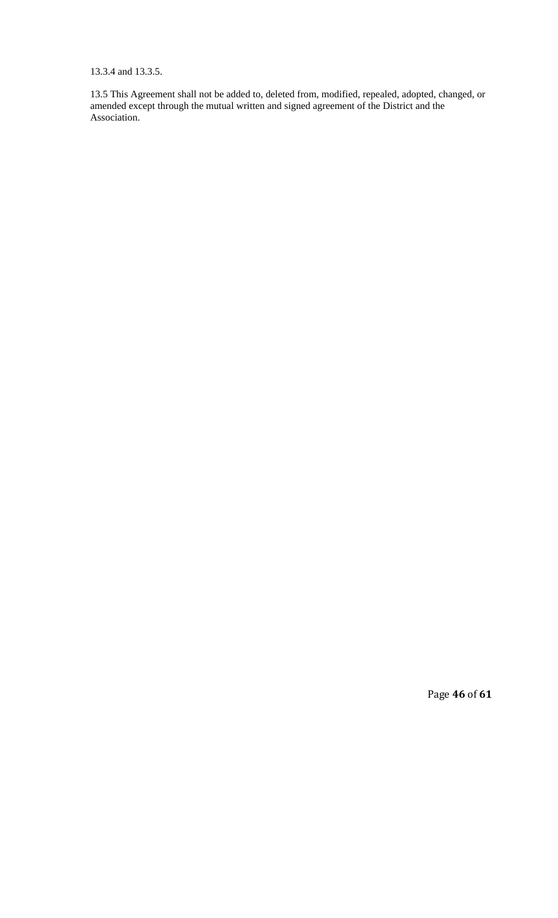13.3.4 and 13.3.5.

13.5 This Agreement shall not be added to, deleted from, modified, repealed, adopted, changed, or amended except through the mutual written and signed agreement of the District and the Association.

Page **46** of **61**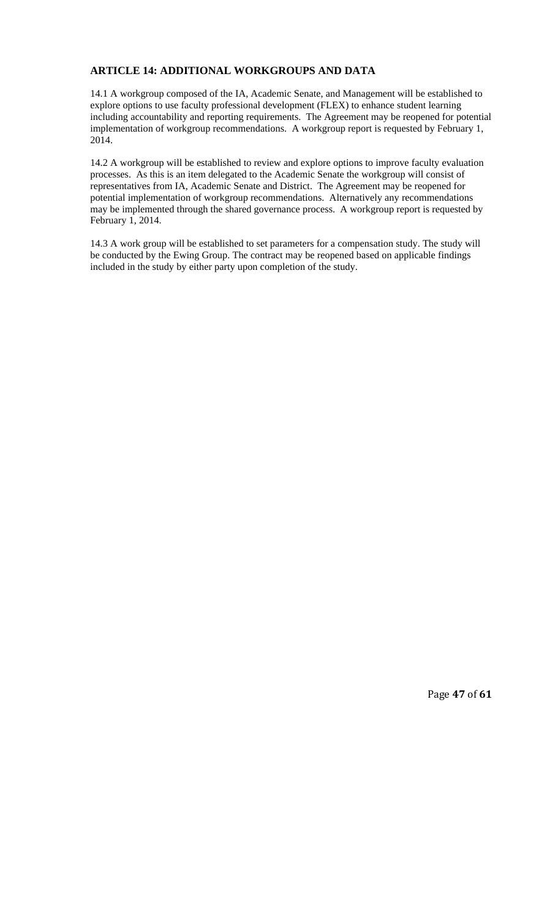# **ARTICLE 14: ADDITIONAL WORKGROUPS AND DATA**

14.1 A workgroup composed of the IA, Academic Senate, and Management will be established to explore options to use faculty professional development (FLEX) to enhance student learning including accountability and reporting requirements. The Agreement may be reopened for potential implementation of workgroup recommendations. A workgroup report is requested by February 1, 2014.

14.2 A workgroup will be established to review and explore options to improve faculty evaluation processes. As this is an item delegated to the Academic Senate the workgroup will consist of representatives from IA, Academic Senate and District. The Agreement may be reopened for potential implementation of workgroup recommendations. Alternatively any recommendations may be implemented through the shared governance process. A workgroup report is requested by February 1, 2014.

14.3 A work group will be established to set parameters for a compensation study. The study will be conducted by the Ewing Group. The contract may be reopened based on applicable findings included in the study by either party upon completion of the study.

Page **47** of **61**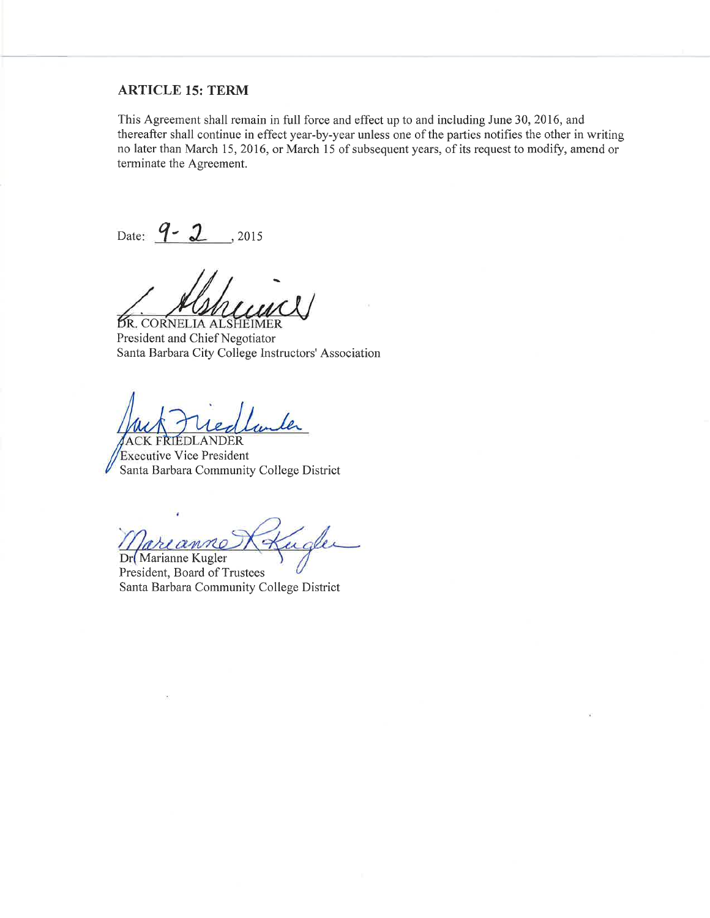### **ARTICLE 15: TERM**

This Agreement shall remain in full force and effect up to and including June 30, 2016, and thereafter shall continue in effect year-by-year unless one of the parties notifies the other in writing no later than March 15, 2016, or March 15 of subsequent years, of its request to modify, amend or terminate the Agreement.

Date:  $9 - 2$ , 2015

*BR. CORNELIA ALSHEIMER* President and Chief Negotiator Santa Barbara City College Instructors' Association

**ACK FRIEDLANDER Executive Vice President** Santa Barbara Community College District

udler

Dr Marianne Kugler President, Board of Trustees Santa Barbara Community College District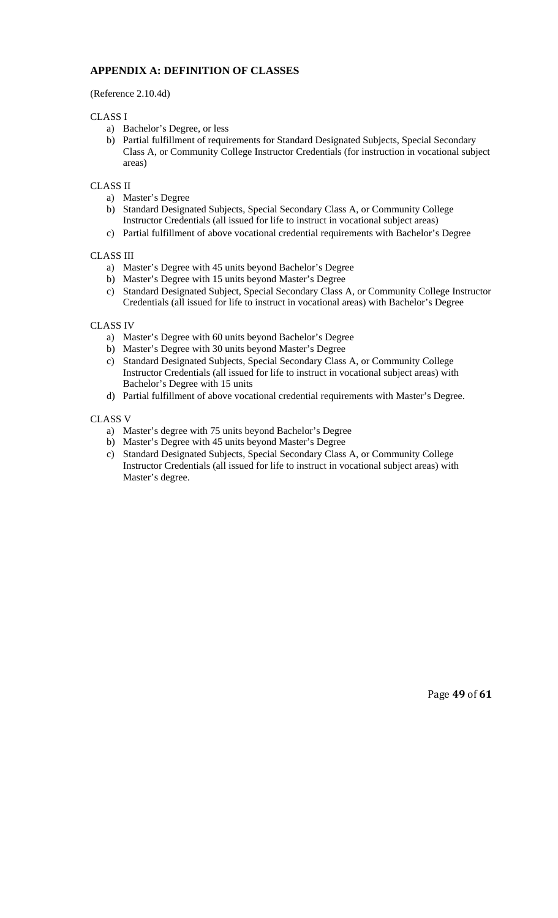# **APPENDIX A: DEFINITION OF CLASSES**

(Reference 2.10.4d)

# CLASS I

- a) Bachelor's Degree, or less
- b) Partial fulfillment of requirements for Standard Designated Subjects, Special Secondary Class A, or Community College Instructor Credentials (for instruction in vocational subject areas)

# CLASS II

- a) Master's Degree
- b) Standard Designated Subjects, Special Secondary Class A, or Community College Instructor Credentials (all issued for life to instruct in vocational subject areas)
- c) Partial fulfillment of above vocational credential requirements with Bachelor's Degree

# CLASS III

- a) Master's Degree with 45 units beyond Bachelor's Degree
- b) Master's Degree with 15 units beyond Master's Degree
- c) Standard Designated Subject, Special Secondary Class A, or Community College Instructor Credentials (all issued for life to instruct in vocational areas) with Bachelor's Degree

# CLASS IV

- a) Master's Degree with 60 units beyond Bachelor's Degree
- b) Master's Degree with 30 units beyond Master's Degree
- c) Standard Designated Subjects, Special Secondary Class A, or Community College Instructor Credentials (all issued for life to instruct in vocational subject areas) with Bachelor's Degree with 15 units
- d) Partial fulfillment of above vocational credential requirements with Master's Degree.

# CLASS V

- a) Master's degree with 75 units beyond Bachelor's Degree
- b) Master's Degree with 45 units beyond Master's Degree
- c) Standard Designated Subjects, Special Secondary Class A, or Community College Instructor Credentials (all issued for life to instruct in vocational subject areas) with Master's degree.

Page **49** of **61**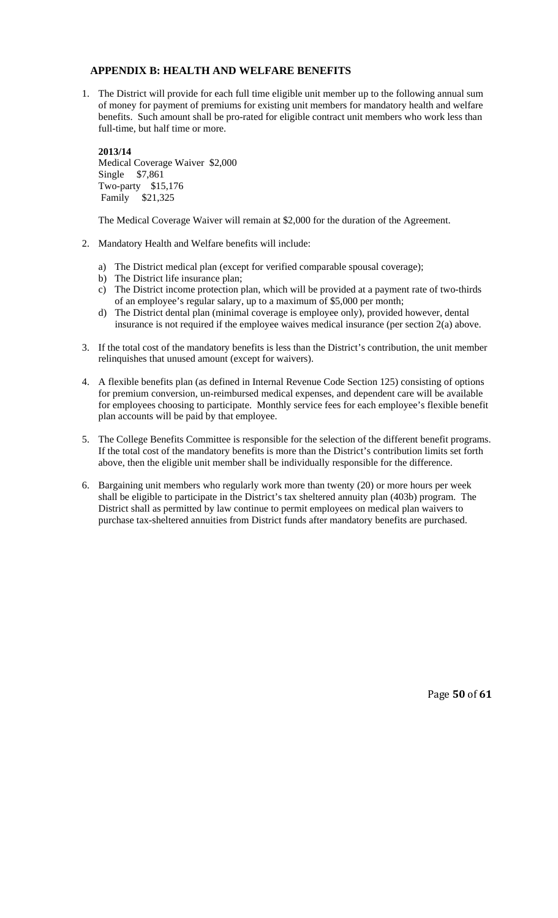# **APPENDIX B: HEALTH AND WELFARE BENEFITS**

1. The District will provide for each full time eligible unit member up to the following annual sum of money for payment of premiums for existing unit members for mandatory health and welfare benefits. Such amount shall be pro-rated for eligible contract unit members who work less than full-time, but half time or more.

**2013/14** Medical Coverage Waiver \$2,000 Single \$7,861 Two-party \$15,176 Family \$21,325

The Medical Coverage Waiver will remain at \$2,000 for the duration of the Agreement.

- 2. Mandatory Health and Welfare benefits will include:
	- a) The District medical plan (except for verified comparable spousal coverage);
	- b) The District life insurance plan;
	- c) The District income protection plan, which will be provided at a payment rate of two-thirds of an employee's regular salary, up to a maximum of \$5,000 per month;
	- d) The District dental plan (minimal coverage is employee only), provided however, dental insurance is not required if the employee waives medical insurance (per section 2(a) above.
- 3. If the total cost of the mandatory benefits is less than the District's contribution, the unit member relinquishes that unused amount (except for waivers).
- 4. A flexible benefits plan (as defined in Internal Revenue Code Section 125) consisting of options for premium conversion, un-reimbursed medical expenses, and dependent care will be available for employees choosing to participate. Monthly service fees for each employee's flexible benefit plan accounts will be paid by that employee.
- 5. The College Benefits Committee is responsible for the selection of the different benefit programs. If the total cost of the mandatory benefits is more than the District's contribution limits set forth above, then the eligible unit member shall be individually responsible for the difference.
- 6. Bargaining unit members who regularly work more than twenty (20) or more hours per week shall be eligible to participate in the District's tax sheltered annuity plan (403b) program. The District shall as permitted by law continue to permit employees on medical plan waivers to purchase tax-sheltered annuities from District funds after mandatory benefits are purchased.

Page **50** of **61**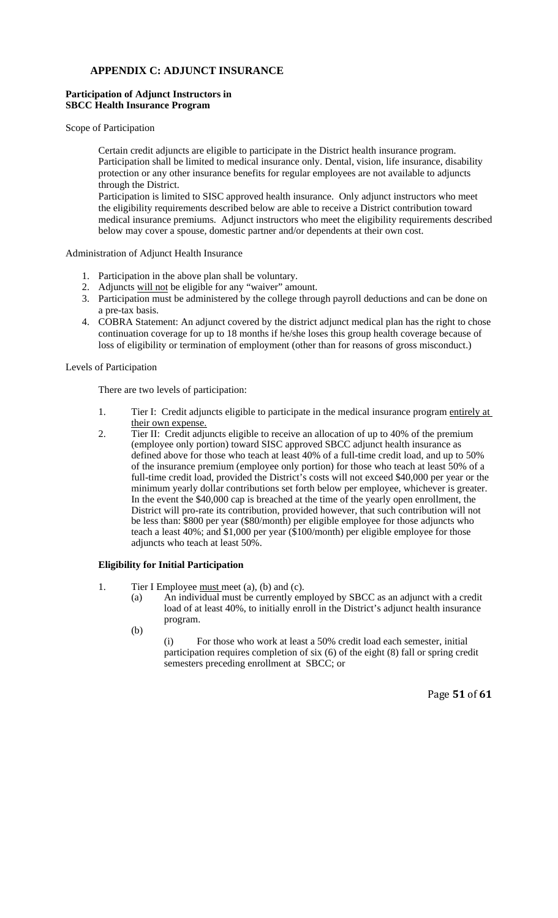# **APPENDIX C: ADJUNCT INSURANCE**

# **Participation of Adjunct Instructors in SBCC Health Insurance Program**

Scope of Participation

Certain credit adjuncts are eligible to participate in the District health insurance program. Participation shall be limited to medical insurance only. Dental, vision, life insurance, disability protection or any other insurance benefits for regular employees are not available to adjuncts through the District.

Participation is limited to SISC approved health insurance. Only adjunct instructors who meet the eligibility requirements described below are able to receive a District contribution toward medical insurance premiums. Adjunct instructors who meet the eligibility requirements described below may cover a spouse, domestic partner and/or dependents at their own cost.

### Administration of Adjunct Health Insurance

- 1. Participation in the above plan shall be voluntary.
- 2. Adjuncts will not be eligible for any "waiver" amount.
- 3. Participation must be administered by the college through payroll deductions and can be done on a pre-tax basis.
- 4. COBRA Statement: An adjunct covered by the district adjunct medical plan has the right to chose continuation coverage for up to 18 months if he/she loses this group health coverage because of loss of eligibility or termination of employment (other than for reasons of gross misconduct.)

# Levels of Participation

There are two levels of participation:

- 1. Tier I: Credit adjuncts eligible to participate in the medical insurance program entirely at their own expense.
- 2. Tier II: Credit adjuncts eligible to receive an allocation of up to 40% of the premium (employee only portion) toward SISC approved SBCC adjunct health insurance as defined above for those who teach at least 40% of a full-time credit load, and up to 50% of the insurance premium (employee only portion) for those who teach at least 50% of a full-time credit load, provided the District's costs will not exceed \$40,000 per year or the minimum yearly dollar contributions set forth below per employee, whichever is greater. In the event the \$40,000 cap is breached at the time of the yearly open enrollment, the District will pro-rate its contribution, provided however, that such contribution will not be less than: \$800 per year (\$80/month) per eligible employee for those adjuncts who teach a least 40%; and \$1,000 per year (\$100/month) per eligible employee for those adjuncts who teach at least 50%.

### **Eligibility for Initial Participation**

- 1. Tier I Employee must meet (a), (b) and (c).
	- (a) An individual must be currently employed by SBCC as an adjunct with a credit load of at least 40%, to initially enroll in the District's adjunct health insurance program.
	- (b)

 (i) For those who work at least a 50% credit load each semester, initial participation requires completion of six (6) of the eight (8) fall or spring credit semesters preceding enrollment at SBCC; or

Page **51** of **61**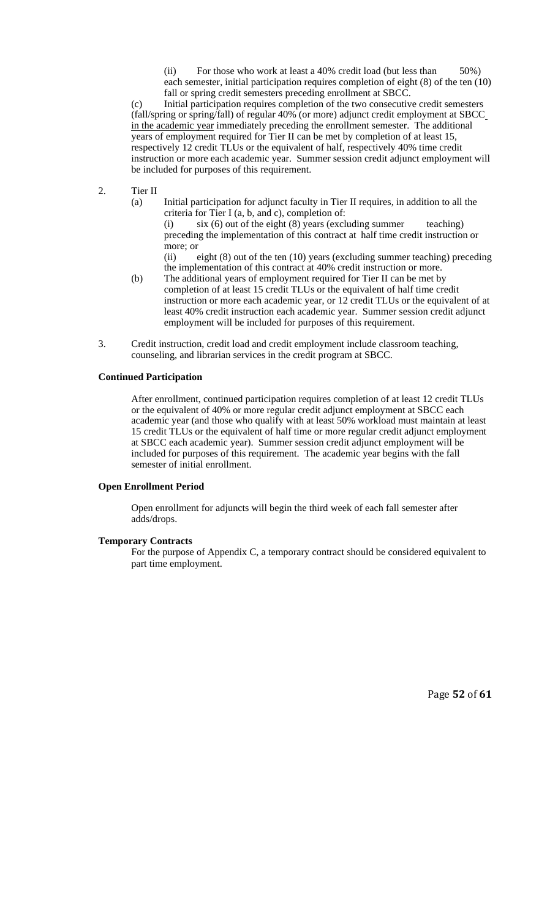(ii) For those who work at least a 40% credit load (but less than 50%) each semester, initial participation requires completion of eight (8) of the ten (10) fall or spring credit semesters preceding enrollment at SBCC.

 (c) Initial participation requires completion of the two consecutive credit semesters (fall/spring or spring/fall) of regular 40% (or more) adjunct credit employment at SBCC in the academic year immediately preceding the enrollment semester. The additional years of employment required for Tier II can be met by completion of at least 15, respectively 12 credit TLUs or the equivalent of half, respectively 40% time credit instruction or more each academic year. Summer session credit adjunct employment will be included for purposes of this requirement.

- 2. Tier II
	- (a) Initial participation for adjunct faculty in Tier II requires, in addition to all the criteria for Tier I (a, b, and c), completion of:

(i)  $\sin(6)$  out of the eight (8) years (excluding summer teaching) preceding the implementation of this contract at half time credit instruction or more; or

 (ii) eight (8) out of the ten (10) years (excluding summer teaching) preceding the implementation of this contract at 40% credit instruction or more.

- (b) The additional years of employment required for Tier II can be met by completion of at least 15 credit TLUs or the equivalent of half time credit instruction or more each academic year, or 12 credit TLUs or the equivalent of at least 40% credit instruction each academic year.Summer session credit adjunct employment will be included for purposes of this requirement.
- 3. Credit instruction, credit load and credit employment include classroom teaching, counseling, and librarian services in the credit program at SBCC.

#### **Continued Participation**

After enrollment, continued participation requires completion of at least 12 credit TLUs or the equivalent of 40% or more regular credit adjunct employment at SBCC each academic year (and those who qualify with at least 50% workload must maintain at least 15 credit TLUs or the equivalent of half time or more regular credit adjunct employment at SBCC each academic year). Summer session credit adjunct employment will be included for purposes of this requirement. The academic year begins with the fall semester of initial enrollment.

### **Open Enrollment Period**

Open enrollment for adjuncts will begin the third week of each fall semester after adds/drops.

#### **Temporary Contracts**

For the purpose of Appendix C, a temporary contract should be considered equivalent to part time employment.

Page **52** of **61**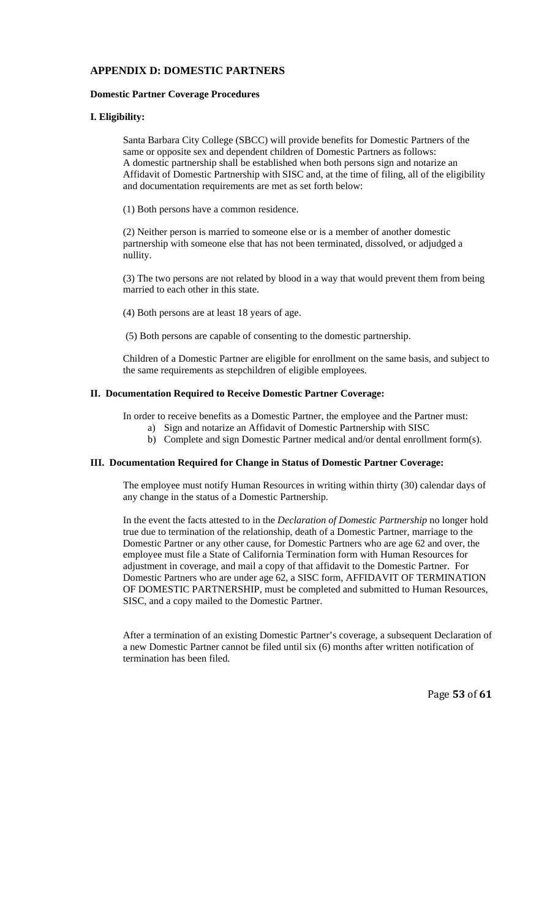# **APPENDIX D: DOMESTIC PARTNERS**

### **Domestic Partner Coverage Procedures**

# **I. Eligibility:**

Santa Barbara City College (SBCC) will provide benefits for Domestic Partners of the same or opposite sex and dependent children of Domestic Partners as follows: A domestic partnership shall be established when both persons sign and notarize an Affidavit of Domestic Partnership with SISC and, at the time of filing, all of the eligibility and documentation requirements are met as set forth below:

(1) Both persons have a common residence.

(2) Neither person is married to someone else or is a member of another domestic partnership with someone else that has not been terminated, dissolved, or adjudged a nullity.

(3) The two persons are not related by blood in a way that would prevent them from being married to each other in this state.

(4) Both persons are at least 18 years of age.

(5) Both persons are capable of consenting to the domestic partnership.

Children of a Domestic Partner are eligible for enrollment on the same basis, and subject to the same requirements as stepchildren of eligible employees.

### **II. Documentation Required to Receive Domestic Partner Coverage:**

In order to receive benefits as a Domestic Partner, the employee and the Partner must:

- a) Sign and notarize an Affidavit of Domestic Partnership with SISC
- b) Complete and sign Domestic Partner medical and/or dental enrollment form(s).

# **III. Documentation Required for Change in Status of Domestic Partner Coverage:**

The employee must notify Human Resources in writing within thirty (30) calendar days of any change in the status of a Domestic Partnership.

In the event the facts attested to in the *Declaration of Domestic Partnership* no longer hold true due to termination of the relationship, death of a Domestic Partner, marriage to the Domestic Partner or any other cause, for Domestic Partners who are age 62 and over, the employee must file a State of California Termination form with Human Resources for adjustment in coverage, and mail a copy of that affidavit to the Domestic Partner. For Domestic Partners who are under age 62, a SISC form, AFFIDAVIT OF TERMINATION OF DOMESTIC PARTNERSHIP, must be completed and submitted to Human Resources, SISC, and a copy mailed to the Domestic Partner.

After a termination of an existing Domestic Partner's coverage, a subsequent Declaration of a new Domestic Partner cannot be filed until six (6) months after written notification of termination has been filed.

Page **53** of **61**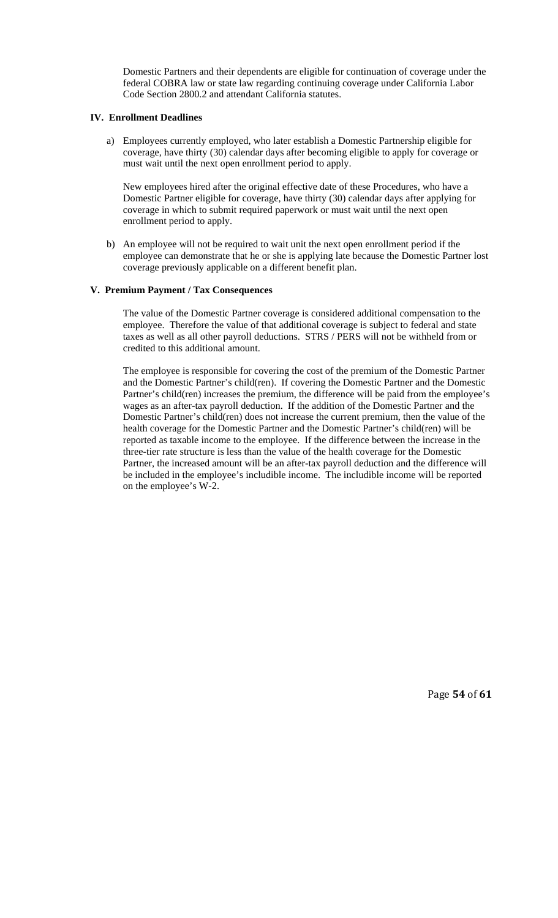Domestic Partners and their dependents are eligible for continuation of coverage under the federal COBRA law or state law regarding continuing coverage under California Labor Code Section 2800.2 and attendant California statutes.

### **IV. Enrollment Deadlines**

a) Employees currently employed, who later establish a Domestic Partnership eligible for coverage, have thirty (30) calendar days after becoming eligible to apply for coverage or must wait until the next open enrollment period to apply.

New employees hired after the original effective date of these Procedures, who have a Domestic Partner eligible for coverage, have thirty (30) calendar days after applying for coverage in which to submit required paperwork or must wait until the next open enrollment period to apply.

b) An employee will not be required to wait unit the next open enrollment period if the employee can demonstrate that he or she is applying late because the Domestic Partner lost coverage previously applicable on a different benefit plan.

# **V. Premium Payment / Tax Consequences**

The value of the Domestic Partner coverage is considered additional compensation to the employee. Therefore the value of that additional coverage is subject to federal and state taxes as well as all other payroll deductions. STRS / PERS will not be withheld from or credited to this additional amount.

The employee is responsible for covering the cost of the premium of the Domestic Partner and the Domestic Partner's child(ren). If covering the Domestic Partner and the Domestic Partner's child(ren) increases the premium, the difference will be paid from the employee's wages as an after-tax payroll deduction. If the addition of the Domestic Partner and the Domestic Partner's child(ren) does not increase the current premium, then the value of the health coverage for the Domestic Partner and the Domestic Partner's child(ren) will be reported as taxable income to the employee. If the difference between the increase in the three-tier rate structure is less than the value of the health coverage for the Domestic Partner, the increased amount will be an after-tax payroll deduction and the difference will be included in the employee's includible income. The includible income will be reported on the employee's W-2.

Page **54** of **61**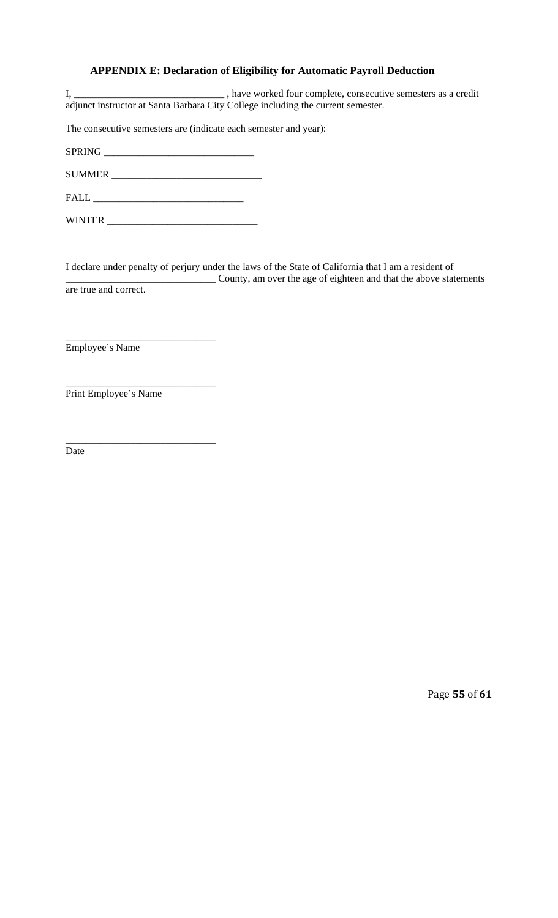# **APPENDIX E: Declaration of Eligibility for Automatic Payroll Deduction**

I, \_\_\_\_\_\_\_\_\_\_\_\_\_\_\_\_\_\_\_\_\_\_\_\_\_\_\_\_\_\_\_\_\_\_, have worked four complete, consecutive semesters as a credit adjunct instructor at Santa Barbara City College including the current semester.

The consecutive semesters are (indicate each semester and year):

SPRING \_\_\_\_\_\_\_\_\_\_\_\_\_\_\_\_\_\_\_\_\_\_\_\_\_\_\_\_\_\_

SUMMER \_\_\_\_\_\_\_\_\_\_\_\_\_\_\_\_\_\_\_\_\_\_\_\_\_\_\_\_\_\_

FALL \_\_\_\_\_\_\_\_\_\_\_\_\_\_\_\_\_\_\_\_\_\_\_\_\_\_\_\_\_\_

WINTER \_\_\_\_\_\_\_\_\_\_\_\_\_\_\_\_\_\_\_\_\_\_\_\_\_\_\_\_\_\_

I declare under penalty of perjury under the laws of the State of California that I am a resident of \_\_\_\_\_\_\_\_\_\_\_\_\_\_\_\_\_\_\_\_\_\_\_\_\_\_\_\_\_\_ County, am over the age of eighteen and that the above statements are true and correct.

\_\_\_\_\_\_\_\_\_\_\_\_\_\_\_\_\_\_\_\_\_\_\_\_\_\_\_\_\_\_ Employee's Name

\_\_\_\_\_\_\_\_\_\_\_\_\_\_\_\_\_\_\_\_\_\_\_\_\_\_\_\_\_\_ Print Employee's Name

\_\_\_\_\_\_\_\_\_\_\_\_\_\_\_\_\_\_\_\_\_\_\_\_\_\_\_\_\_\_

Date

Page **55** of **61**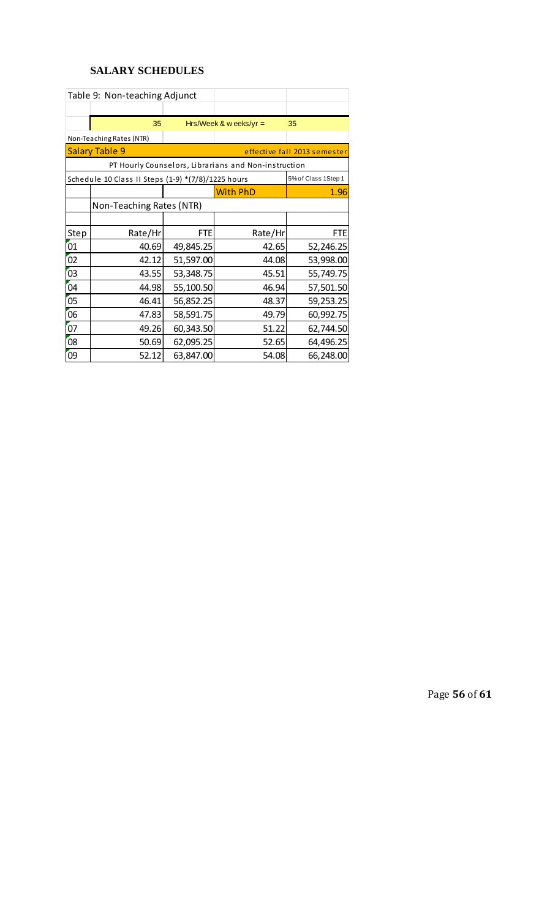# **SALARY SCHEDULES**

|                                                                           | Table 9: Non-teaching Adjunct                         |            |                                                      |            |  |  |  |
|---------------------------------------------------------------------------|-------------------------------------------------------|------------|------------------------------------------------------|------------|--|--|--|
|                                                                           |                                                       |            |                                                      |            |  |  |  |
|                                                                           | 35                                                    |            | Hrs/Week & w eeks/yr $=$                             | 35         |  |  |  |
|                                                                           | Non-Teaching Rates (NTR)                              |            |                                                      |            |  |  |  |
|                                                                           | <b>Salary Table 9</b><br>effective fall 2013 semester |            |                                                      |            |  |  |  |
|                                                                           |                                                       |            | PT Hourly Counselors, Librarians and Non-instruction |            |  |  |  |
| Schedule 10 Class II Steps (1-9) *(7/8)/1225 hours<br>5% of Class 1Step 1 |                                                       |            |                                                      |            |  |  |  |
|                                                                           |                                                       |            | <b>With PhD</b>                                      | 1.96       |  |  |  |
|                                                                           | Non-Teaching Rates (NTR)                              |            |                                                      |            |  |  |  |
|                                                                           |                                                       |            |                                                      |            |  |  |  |
| Step                                                                      | Rate/Hr                                               | <b>FTE</b> | Rate/Hr                                              | <b>FTE</b> |  |  |  |
| 01                                                                        | 40.69                                                 | 49,845.25  | 42.65                                                | 52,246.25  |  |  |  |
| 02                                                                        | 42.12                                                 | 51,597.00  | 44.08                                                | 53,998.00  |  |  |  |
| 03                                                                        | 43.55                                                 | 53,348.75  | 45.51                                                | 55,749.75  |  |  |  |
| 04                                                                        | 44.98                                                 | 55,100.50  | 46.94                                                | 57,501.50  |  |  |  |
| 05                                                                        | 46.41                                                 | 56,852.25  | 48.37                                                | 59,253.25  |  |  |  |
| 06                                                                        | 47.83                                                 | 58,591.75  | 49.79                                                | 60,992.75  |  |  |  |
| 07                                                                        | 49.26                                                 | 60,343.50  | 51.22                                                | 62,744.50  |  |  |  |
| 08                                                                        | 50.69                                                 | 62,095.25  | 52.65                                                | 64,496.25  |  |  |  |
| 09                                                                        | 52.12                                                 | 63,847.00  | 54.08                                                | 66,248.00  |  |  |  |

Page **56** of **61**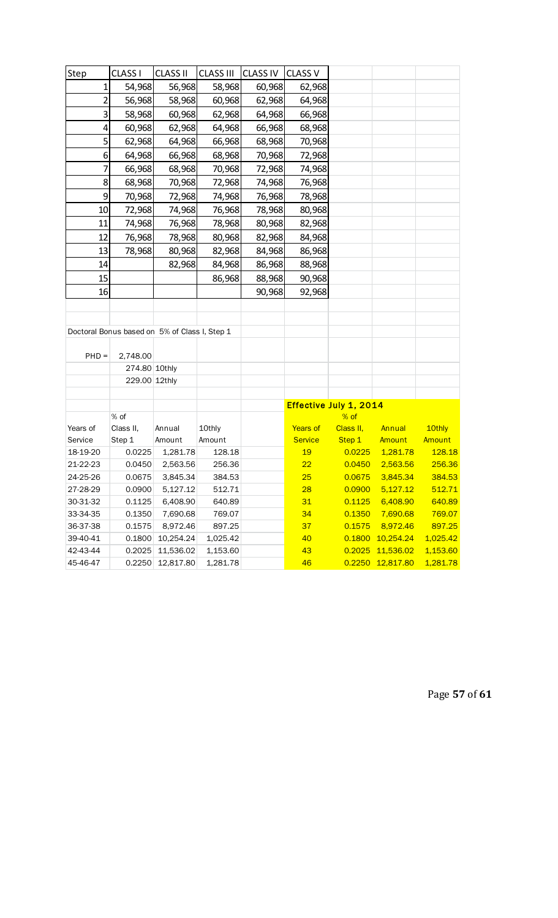| Step           | <b>CLASS I</b> | <b>CLASS II</b>                               | <b>CLASS III</b> | <b>CLASS IV</b> | <b>CLASS V</b>  |                                |                  |          |
|----------------|----------------|-----------------------------------------------|------------------|-----------------|-----------------|--------------------------------|------------------|----------|
| 1              | 54,968         | 56,968                                        | 58,968           | 60,968          | 62,968          |                                |                  |          |
| $\overline{2}$ | 56,968         | 58,968                                        | 60,968           | 62,968          | 64,968          |                                |                  |          |
| 3              | 58,968         | 60,968                                        | 62,968           | 64,968          | 66,968          |                                |                  |          |
| 4              | 60,968         | 62,968                                        | 64,968           | 66,968          | 68,968          |                                |                  |          |
| 5              | 62,968         | 64,968                                        | 66,968           | 68,968          | 70,968          |                                |                  |          |
| 6              | 64,968         | 66,968                                        | 68,968           | 70,968          | 72,968          |                                |                  |          |
| 7              | 66,968         | 68,968                                        | 70,968           | 72,968          | 74,968          |                                |                  |          |
| 8              | 68,968         | 70,968                                        | 72,968           | 74,968          | 76,968          |                                |                  |          |
| 9              | 70,968         | 72,968                                        | 74,968           | 76,968          | 78,968          |                                |                  |          |
| 10             | 72,968         | 74,968                                        | 76,968           | 78,968          | 80,968          |                                |                  |          |
| 11             | 74,968         | 76,968                                        | 78,968           | 80,968          | 82,968          |                                |                  |          |
| 12             | 76,968         | 78,968                                        | 80,968           | 82,968          | 84,968          |                                |                  |          |
| 13             | 78,968         | 80,968                                        | 82,968           | 84,968          | 86,968          |                                |                  |          |
| 14             |                | 82,968                                        | 84,968           | 86,968          | 88,968          |                                |                  |          |
| 15             |                |                                               | 86,968           | 88,968          | 90,968          |                                |                  |          |
| 16             |                |                                               |                  | 90,968          | 92,968          |                                |                  |          |
|                |                |                                               |                  |                 |                 |                                |                  |          |
|                |                |                                               |                  |                 |                 |                                |                  |          |
|                |                | Doctoral Bonus based on 5% of Class I, Step 1 |                  |                 |                 |                                |                  |          |
|                |                |                                               |                  |                 |                 |                                |                  |          |
| $PHD =$        | 2,748.00       |                                               |                  |                 |                 |                                |                  |          |
|                | 274.80 10thly  |                                               |                  |                 |                 |                                |                  |          |
|                | 229.00 12thly  |                                               |                  |                 |                 |                                |                  |          |
|                |                |                                               |                  |                 |                 |                                |                  |          |
|                | % of           |                                               |                  |                 |                 | Effective July 1, 2014<br>% of |                  |          |
| Years of       | Class II,      | Annual                                        | 10thly           |                 | <b>Years of</b> | Class II,                      | Annual           | 10thly   |
| Service        | Step 1         | Amount                                        | Amount           |                 | <b>Service</b>  | Step 1                         | Amount           | Amount   |
| 18-19-20       | 0.0225         | 1,281.78                                      | 128.18           |                 | 19              | 0.0225                         | 1,281.78         | 128.18   |
| 21-22-23       | 0.0450         | 2,563.56                                      | 256.36           |                 | 22              | 0.0450                         | 2,563.56         | 256.36   |
| 24-25-26       | 0.0675         | 3,845.34                                      | 384.53           |                 | 25              | 0.0675                         | 3,845.34         | 384.53   |
| 27-28-29       | 0.0900         | 5,127.12                                      | 512.71           |                 | 28              | 0.0900                         | 5,127.12         | 512.71   |
| 30-31-32       | 0.1125         | 6,408.90                                      | 640.89           |                 | 31              | 0.1125                         | 6,408.90         | 640.89   |
| 33-34-35       | 0.1350         | 7,690.68                                      | 769.07           |                 | 34              | 0.1350                         | 7,690.68         | 769.07   |
| 36-37-38       | 0.1575         | 8,972.46                                      | 897.25           |                 | 37              | 0.1575                         | 8,972.46         | 897.25   |
| 39-40-41       | 0.1800         | 10,254.24                                     | 1,025.42         |                 | 40              |                                | 0.1800 10,254.24 | 1,025.42 |
| 42-43-44       | 0.2025         | 11,536.02                                     | 1,153.60         |                 | 43              | 0.2025                         | 11,536.02        | 1,153.60 |
| 45-46-47       |                | 0.2250 12,817.80                              | 1,281.78         |                 | 46              | 0.2250                         | 12,817.80        | 1,281.78 |

Page **57** of **61**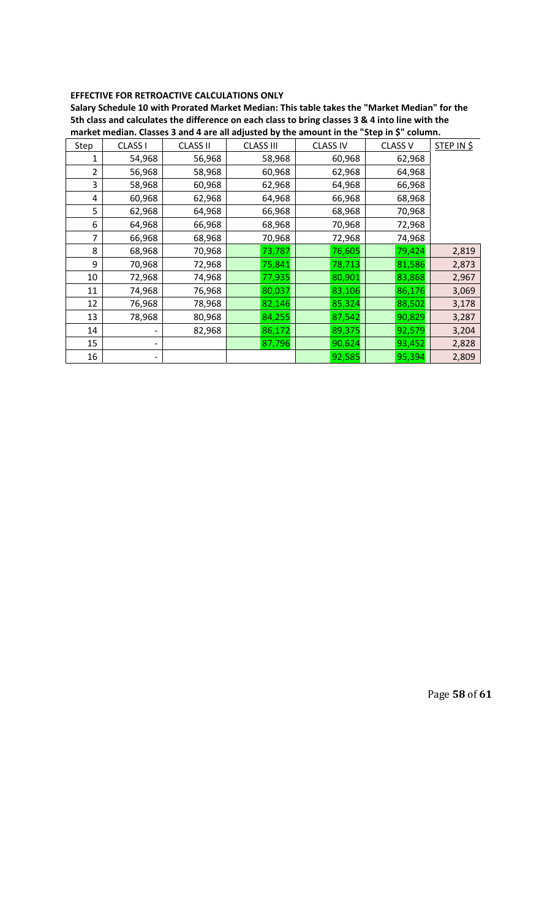### **EFFECTIVE FOR RETROACTIVE CALCULATIONS ONLY**

**Salary Schedule 10 with Prorated Market Median: This table takes the "Market Median" for the** 5th class and calculates the difference on each class to bring classes 3 & 4 into line with the **market median. Classes 3 and 4 are all adjusted by the amount in the "Step in \$" column.**

| Step | CLASS I | <b>CLASS II</b> | <b>CLASS III</b> | <b>CLASS IV</b> | <b>CLASS V</b> | STEP IN \$ |
|------|---------|-----------------|------------------|-----------------|----------------|------------|
| 1    | 54,968  | 56,968          | 58,968           | 60,968          | 62,968         |            |
| 2    | 56,968  | 58,968          | 60,968           | 62,968          | 64,968         |            |
| 3    | 58,968  | 60,968          | 62,968           | 64,968          | 66,968         |            |
| 4    | 60,968  | 62,968          | 64,968           | 66,968          | 68,968         |            |
| 5    | 62,968  | 64,968          | 66,968           | 68,968          | 70,968         |            |
| 6    | 64,968  | 66,968          | 68,968           | 70,968          | 72,968         |            |
| 7    | 66,968  | 68,968          | 70,968           | 72,968          | 74,968         |            |
| 8    | 68,968  | 70,968          | 73,787           | 76,605          | 79,424         | 2,819      |
| 9    | 70,968  | 72,968          | 75,841           | 78,713          | 81,586         | 2,873      |
| 10   | 72,968  | 74,968          | 77,935           | 80,901          | 83,868         | 2,967      |
| 11   | 74,968  | 76,968          | 80,037           | 83,106          | 86,176         | 3,069      |
| 12   | 76,968  | 78,968          | 82,146           | 85,324          | 88,502         | 3,178      |
| 13   | 78,968  | 80,968          | 84,255           | 87,542          | 90,829         | 3,287      |
| 14   |         | 82,968          | 86,172           | 89,375          | 92,579         | 3,204      |
| 15   |         |                 | 87,796           | 90,624          | 93,452         | 2,828      |
| 16   |         |                 |                  | 92,585          | 95,394         | 2,809      |

Page **58** of **61**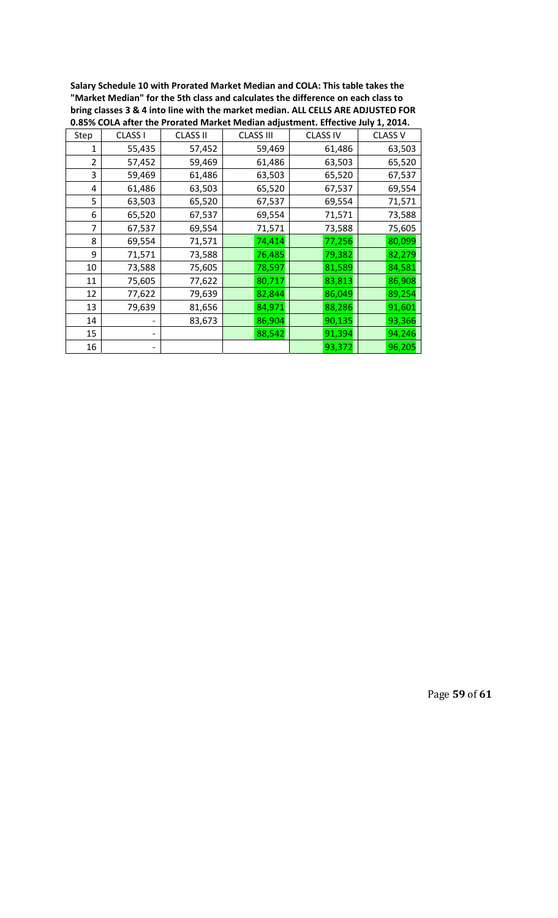**Salary Schedule 10 with Prorated Market Median and COLA: This table takes the "Market Median" for the 5th class and calculates the difference on each class to bring classes 3 & 4 into line with the market median. ALL CELLS ARE ADJUSTED FOR 0.85% COLA after the Prorated Market Median adjustment. Effective July 1, 2014.**

|                | 0.0370 COLA anche in chi alcunivative ividiani aujustinenti Encenve sury 1, 2014. |                 |                  |                 |                |  |  |  |  |
|----------------|-----------------------------------------------------------------------------------|-----------------|------------------|-----------------|----------------|--|--|--|--|
| Step           | <b>CLASS I</b>                                                                    | <b>CLASS II</b> | <b>CLASS III</b> | <b>CLASS IV</b> | <b>CLASS V</b> |  |  |  |  |
| 1              | 55,435                                                                            | 57,452          | 59,469           | 61,486          | 63,503         |  |  |  |  |
| $\overline{2}$ | 57,452                                                                            | 59,469          | 61,486           | 63,503          | 65,520         |  |  |  |  |
| 3              | 59,469                                                                            | 61,486          | 63,503           | 65,520          | 67,537         |  |  |  |  |
| 4              | 61,486                                                                            | 63,503          | 65,520           | 67,537          | 69,554         |  |  |  |  |
| 5              | 63,503                                                                            | 65,520          | 67,537           | 69,554          | 71,571         |  |  |  |  |
| 6              | 65,520                                                                            | 67,537          | 69,554           | 71,571          | 73,588         |  |  |  |  |
| $\overline{7}$ | 67,537                                                                            | 69,554          | 71,571           | 73,588          | 75,605         |  |  |  |  |
| 8              | 69,554                                                                            | 71,571          | 74,414           | 77,256          | 80,099         |  |  |  |  |
| 9              | 71,571                                                                            | 73,588          | 76,485           | 79,382          | 82,279         |  |  |  |  |
| 10             | 73,588                                                                            | 75,605          | 78,597           | 81,589          | 84,581         |  |  |  |  |
| 11             | 75,605                                                                            | 77,622          | 80,717           | 83,813          | 86,908         |  |  |  |  |
| 12             | 77,622                                                                            | 79,639          | 82,844           | 86,049          | 89,254         |  |  |  |  |
| 13             | 79,639                                                                            | 81,656          | 84,971           | 88,286          | 91,601         |  |  |  |  |
| 14             |                                                                                   | 83,673          | 86,904           | 90,135          | 93,366         |  |  |  |  |
| 15             |                                                                                   |                 | 88,542           | 91,394          | 94,246         |  |  |  |  |
| 16             |                                                                                   |                 |                  | 93,372          | 96,205         |  |  |  |  |

Page **59** of **61**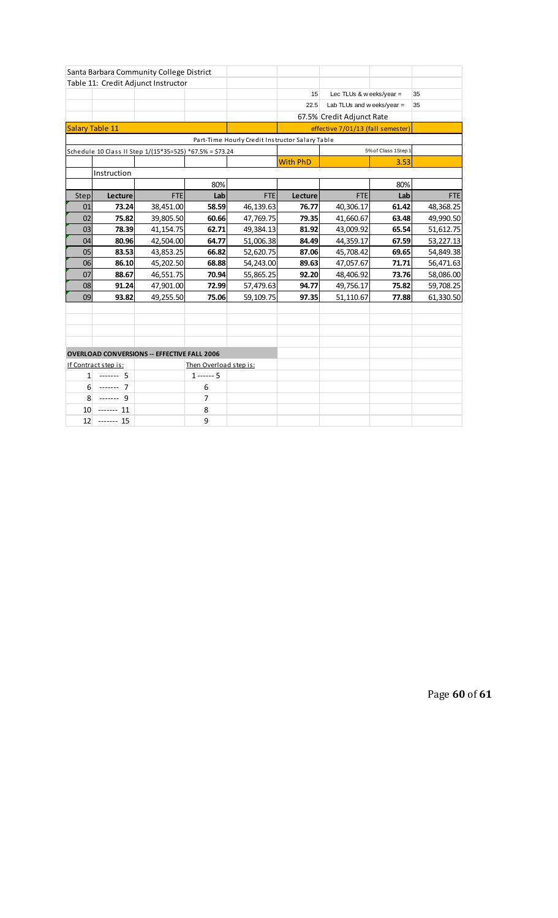| Santa Barbara Community College District                 |             |                                                    |               |                                                 |                 |                                  |                   |            |
|----------------------------------------------------------|-------------|----------------------------------------------------|---------------|-------------------------------------------------|-----------------|----------------------------------|-------------------|------------|
|                                                          |             | Table 11: Credit Adjunct Instructor                |               |                                                 |                 |                                  |                   |            |
|                                                          |             |                                                    |               |                                                 | 15              | Lec TLUs & w eeks/year =         |                   | 35         |
|                                                          |             |                                                    |               |                                                 | 22.5            | Lab TLUs and weeks/year $=$      |                   | 35         |
|                                                          |             |                                                    |               |                                                 |                 | 67.5% Credit Adjunct Rate        |                   |            |
| Salary Table 11                                          |             |                                                    |               |                                                 |                 | effective 7/01/13 (fall semester |                   |            |
|                                                          |             |                                                    |               | Part-Time Hourly Credit Instructor Salary Table |                 |                                  |                   |            |
| Schedule 10 Class II Step 1/(15*35=525) *67.5% = \$73.24 |             |                                                    |               |                                                 |                 |                                  | 5% of Class 1Step |            |
|                                                          |             |                                                    |               |                                                 | <b>With PhD</b> |                                  | 3.53              |            |
|                                                          | Instruction |                                                    |               |                                                 |                 |                                  |                   |            |
|                                                          |             |                                                    | 80%           |                                                 |                 |                                  | 80%               |            |
| Step                                                     | Lecture     | <b>FTE</b>                                         | Lab           | <b>FTE</b>                                      | Lecture         | <b>FTE</b>                       | Lab               | <b>FTE</b> |
| 01                                                       | 73.24       | 38,451.00                                          | 58.59         | 46,139.63                                       | 76.77           | 40,306.17                        | 61.42             | 48,368.25  |
| 02                                                       | 75.82       | 39,805.50                                          | 60.66         | 47,769.75                                       | 79.35           | 41,660.67                        | 63.48             | 49,990.50  |
| 03                                                       | 78.39       | 41,154.75                                          | 62.71         | 49,384.13                                       | 81.92           | 43,009.92                        | 65.54             | 51,612.75  |
| 04                                                       | 80.96       | 42,504.00                                          | 64.77         | 51,006.38                                       | 84.49           | 44,359.17                        | 67.59             | 53,227.13  |
| 05                                                       | 83.53       | 43,853.25                                          | 66.82         | 52,620.75                                       | 87.06           | 45,708.42                        | 69.65             | 54,849.38  |
| 06                                                       | 86.10       | 45,202.50                                          | 68.88         | 54,243.00                                       | 89.63           | 47,057.67                        | 71.71             | 56,471.63  |
| 07                                                       | 88.67       | 46,551.75                                          | 70.94         | 55,865.25                                       | 92.20           | 48,406.92                        | 73.76             | 58,086.00  |
| 08                                                       | 91.24       | 47,901.00                                          | 72.99         | 57,479.63                                       | 94.77           | 49,756.17                        | 75.82             | 59,708.25  |
| 09                                                       | 93.82       | 49,255.50                                          | 75.06         | 59,109.75                                       | 97.35           | 51,110.67                        | 77.88             | 61,330.50  |
|                                                          |             |                                                    |               |                                                 |                 |                                  |                   |            |
|                                                          |             |                                                    |               |                                                 |                 |                                  |                   |            |
|                                                          |             |                                                    |               |                                                 |                 |                                  |                   |            |
|                                                          |             |                                                    |               |                                                 |                 |                                  |                   |            |
|                                                          |             | <b>OVERLOAD CONVERSIONS -- EFFECTIVE FALL 2006</b> |               |                                                 |                 |                                  |                   |            |
| Then Overload step is:<br>If Contract step is:           |             |                                                    |               |                                                 |                 |                                  |                   |            |
| 1                                                        | $--- 5$     |                                                    | $1 - - - - 5$ |                                                 |                 |                                  |                   |            |
| 6                                                        | $--- 7$     |                                                    | 6             |                                                 |                 |                                  |                   |            |
| 8                                                        | $--- 9$     |                                                    | 7             |                                                 |                 |                                  |                   |            |
| 10                                                       | ------- 11  |                                                    | 8             |                                                 |                 |                                  |                   |            |
| 12                                                       | $--- 15$    |                                                    | 9             |                                                 |                 |                                  |                   |            |

Page **60** of **61**